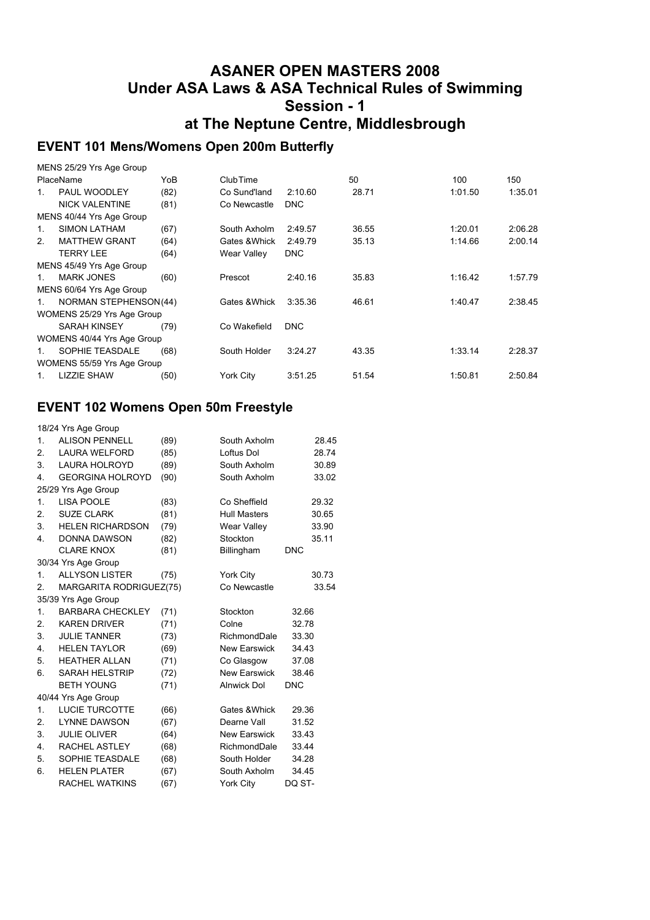#### **ASANER OPEN MASTERS 2008 Under ASA Laws & ASA Technical Rules of Swimming Session - 1 at The Neptune Centre, Middlesbrough**

### **EVENT 101 Mens/Womens Open 200m Butterfly**

|                | MENS 25/29 Yrs Age Group     |      |                 |            |       |         |         |
|----------------|------------------------------|------|-----------------|------------|-------|---------|---------|
|                | PlaceName                    | YoB  | <b>ClubTime</b> |            | 50    | 100     | 150     |
| 1              | PAUL WOODLEY                 | (82) | Co Sund'land    | 2:10.60    | 28.71 | 1:01.50 | 1:35.01 |
|                | <b>NICK VALENTINE</b>        | (81) | Co Newcastle    | <b>DNC</b> |       |         |         |
|                | MENS 40/44 Yrs Age Group     |      |                 |            |       |         |         |
| $\mathbf{1}$ . | <b>SIMON LATHAM</b>          | (67) | South Axholm    | 2:49.57    | 36.55 | 1:20.01 | 2:06.28 |
| 2.             | <b>MATTHEW GRANT</b>         | (64) | Gates & Whick   | 2:49.79    | 35.13 | 1:14.66 | 2:00.14 |
|                | TERRY LEE                    | (64) | Wear Valley     | <b>DNC</b> |       |         |         |
|                | MENS 45/49 Yrs Age Group     |      |                 |            |       |         |         |
| $1_{\cdot}$    | <b>MARK JONES</b>            | (60) | Prescot         | 2:40.16    | 35.83 | 1:16.42 | 1:57.79 |
|                | MENS 60/64 Yrs Age Group     |      |                 |            |       |         |         |
| 1.             | <b>NORMAN STEPHENSON(44)</b> |      | Gates & Whick   | 3:35.36    | 46.61 | 1:40.47 | 2:38.45 |
|                | WOMENS 25/29 Yrs Age Group   |      |                 |            |       |         |         |
|                | <b>SARAH KINSEY</b>          | (79) | Co Wakefield    | <b>DNC</b> |       |         |         |
|                | WOMENS 40/44 Yrs Age Group   |      |                 |            |       |         |         |
| $1_{-}$        | SOPHIE TEASDALE              | (68) | South Holder    | 3:24.27    | 43.35 | 1:33.14 | 2:28.37 |
|                | WOMENS 55/59 Yrs Age Group   |      |                 |            |       |         |         |
| $1_{-}$        | <b>LIZZIE SHAW</b>           | (50) | York City       | 3:51.25    | 51.54 | 1:50.81 | 2:50.84 |

#### **EVENT 102 Womens Open 50m Freestyle**

|    | 18/24 Yrs Age Group     |      |                     |            |
|----|-------------------------|------|---------------------|------------|
| 1. | <b>ALISON PENNELL</b>   | (89) | South Axholm        | 28.45      |
| 2. | <b>LAURA WELFORD</b>    | (85) | Loftus Dol          | 28.74      |
| 3. | <b>LAURA HOLROYD</b>    | (89) | South Axholm        | 30.89      |
| 4. | <b>GEORGINA HOLROYD</b> | (90) | South Axholm        | 33.02      |
|    | 25/29 Yrs Age Group     |      |                     |            |
| 1. | <b>LISA POOLE</b>       | (83) | Co Sheffield        | 29.32      |
| 2. | <b>SUZE CLARK</b>       | (81) | <b>Hull Masters</b> | 30.65      |
| 3. | <b>HELEN RICHARDSON</b> | (79) | Wear Valley         | 33.90      |
| 4. | <b>DONNA DAWSON</b>     | (82) | Stockton            | 35.11      |
|    | <b>CLARE KNOX</b>       | (81) | Billingham          | <b>DNC</b> |
|    | 30/34 Yrs Age Group     |      |                     |            |
| 1. | <b>ALLYSON LISTER</b>   | (75) | York City           | 30.73      |
| 2. | MARGARITA RODRIGUEZ(75) |      | Co Newcastle        | 33.54      |
|    | 35/39 Yrs Age Group     |      |                     |            |
| 1. | <b>BARBARA CHECKLEY</b> | (71) | Stockton            | 32.66      |
| 2. | <b>KAREN DRIVER</b>     | (71) | Colne               | 32.78      |
| 3. | <b>JULIE TANNER</b>     | (73) | RichmondDale        | 33.30      |
| 4. | <b>HELEN TAYLOR</b>     | (69) | <b>New Earswick</b> | 34.43      |
| 5. | <b>HEATHER ALLAN</b>    | (71) | Co Glasgow          | 37.08      |
| 6. | <b>SARAH HELSTRIP</b>   | (72) | <b>New Earswick</b> | 38.46      |
|    | <b>BETH YOUNG</b>       | (71) | <b>Alnwick Dol</b>  | <b>DNC</b> |
|    | 40/44 Yrs Age Group     |      |                     |            |
| 1. | <b>LUCIE TURCOTTE</b>   | (66) | Gates & Whick       | 29.36      |
| 2. | <b>LYNNE DAWSON</b>     | (67) | Dearne Vall         | 31.52      |
| 3. | <b>JULIE OLIVER</b>     | (64) | New Earswick        | 33.43      |
| 4. | <b>RACHEL ASTLEY</b>    | (68) | RichmondDale        | 33.44      |
| 5. | SOPHIE TEASDALE         | (68) | South Holder        | 34.28      |
| 6. | <b>HELEN PLATER</b>     | (67) | South Axholm        | 34.45      |
|    | <b>RACHEL WATKINS</b>   | (67) | <b>York City</b>    | DQ ST-     |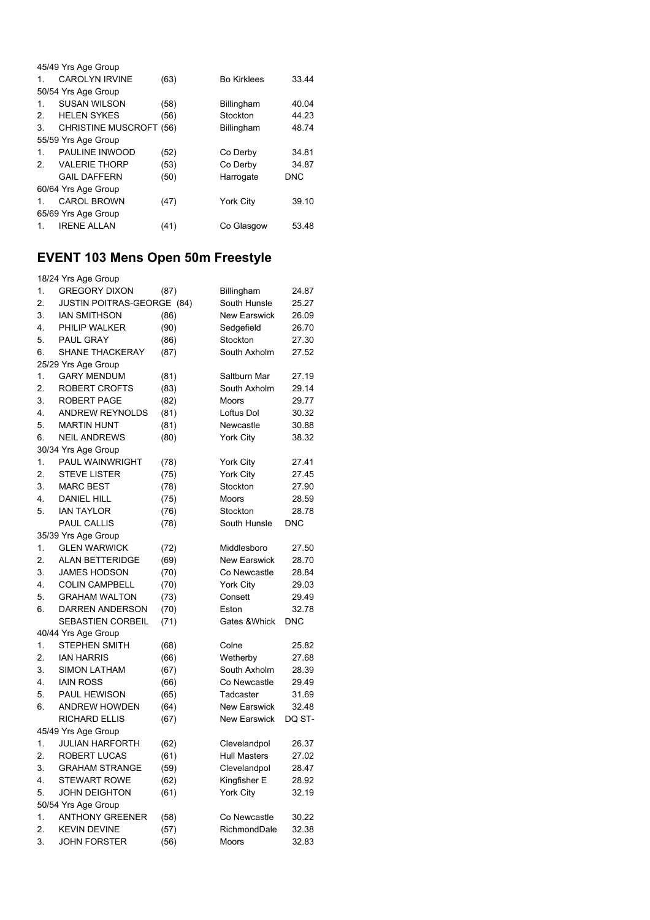|                | 45/49 Yrs Age Group            |      |                    |            |
|----------------|--------------------------------|------|--------------------|------------|
| 1.             | CAROLYN IRVINE                 | (63) | <b>Bo Kirklees</b> | 33.44      |
|                | 50/54 Yrs Age Group            |      |                    |            |
| 1.             | <b>SUSAN WILSON</b>            | (58) | Billingham         | 40.04      |
| $\mathcal{P}$  | <b>HELEN SYKES</b>             | (56) | Stockton           | 44.23      |
| 3.             | <b>CHRISTINE MUSCROFT (56)</b> |      | Billingham         | 48.74      |
|                | 55/59 Yrs Age Group            |      |                    |            |
| $\mathbf{1}$ . | PAULINE INWOOD                 | (52) | Co Derby           | 34.81      |
| $\mathcal{P}$  | <b>VALERIE THORP</b>           | (53) | Co Derby           | 34.87      |
|                | <b>GAIL DAFFERN</b>            | (50) | Harrogate          | <b>DNC</b> |
|                | 60/64 Yrs Age Group            |      |                    |            |
| 1.             | <b>CAROL BROWN</b>             | (47) | <b>York City</b>   | 39.10      |
|                | 65/69 Yrs Age Group            |      |                    |            |
|                | <b>IRENE ALLAN</b>             | (41) | Co Glasgow         | 53.48      |

### **EVENT 103 Mens Open 50m Freestyle**

|    | 18/24 Yrs Age Group               |      |                     |            |
|----|-----------------------------------|------|---------------------|------------|
| 1. | <b>GREGORY DIXON</b>              | (87) | Billingham          | 24.87      |
| 2. | <b>JUSTIN POITRAS-GEORGE (84)</b> |      | South Hunsle        | 25.27      |
| 3. | IAN SMITHSON                      | (86) | New Earswick        | 26.09      |
| 4. | PHILIP WALKER                     | (90) | Sedgefield          | 26.70      |
| 5. | <b>PAUL GRAY</b>                  | (86) | Stockton            | 27.30      |
| 6. | SHANE THACKERAY                   | (87) | South Axholm        | 27.52      |
|    | 25/29 Yrs Age Group               |      |                     |            |
| 1. | <b>GARY MENDUM</b>                | (81) | Saltburn Mar        | 27.19      |
| 2. | ROBERT CROFTS                     | (83) | South Axholm        | 29.14      |
| 3. | <b>ROBERT PAGE</b>                | (82) | Moors               | 29.77      |
| 4. | <b>ANDREW REYNOLDS</b>            | (81) | Loftus Dol          | 30.32      |
| 5. | MARTIN HUNT                       | (81) | Newcastle           | 30.88      |
| 6. | <b>NEIL ANDREWS</b>               | (80) | York City           | 38.32      |
|    | 30/34 Yrs Age Group               |      |                     |            |
| 1. | PAUL WAINWRIGHT                   | (78) | York City           | 27.41      |
| 2. | <b>STEVE LISTER</b>               | (75) | York City           | 27.45      |
| 3. | <b>MARC BEST</b>                  | (78) | Stockton            | 27.90      |
| 4. | <b>DANIEL HILL</b>                | (75) | Moors               | 28.59      |
| 5. | <b>IAN TAYLOR</b>                 | (76) | Stockton            | 28.78      |
|    | PAUL CALLIS                       | (78) | South Hunsle        | <b>DNC</b> |
|    | 35/39 Yrs Age Group               |      |                     |            |
| 1. | <b>GLEN WARWICK</b>               | (72) | Middlesboro         | 27.50      |
| 2. | <b>ALAN BETTERIDGE</b>            | (69) | <b>New Earswick</b> | 28.70      |
| 3. | <b>JAMES HODSON</b>               | (70) | Co Newcastle        | 28.84      |
| 4. | <b>COLIN CAMPBELL</b>             | (70) | York City           | 29.03      |
| 5. | <b>GRAHAM WALTON</b>              | (73) | Consett             | 29.49      |
| 6. | DARREN ANDERSON                   | (70) | Eston               | 32.78      |
|    | SEBASTIEN CORBEIL                 | (71) | Gates & Whick       | DNC        |
|    | 40/44 Yrs Age Group               |      |                     |            |
| 1. | STEPHEN SMITH                     | (68) | Colne               | 25.82      |
| 2. | <b>JAN HARRIS</b>                 | (66) | Wetherby            | 27.68      |
| 3. | <b>SIMON LATHAM</b>               | (67) | South Axholm        | 28.39      |
| 4. | <b>IAIN ROSS</b>                  | (66) | Co Newcastle        | 29.49      |
| 5. | PAUL HEWISON                      | (65) | Tadcaster           | 31.69      |
| 6. | <b>ANDREW HOWDEN</b>              | (64) | <b>New Earswick</b> | 32.48      |
|    | RICHARD ELLIS                     | (67) | <b>New Earswick</b> | DQ ST-     |
|    | 45/49 Yrs Age Group               |      |                     |            |
| 1. | <b>JULIAN HARFORTH</b>            | (62) | Clevelandpol        | 26.37      |
| 2. | ROBERT LUCAS                      | (61) | <b>Hull Masters</b> | 27.02      |
| 3. | GRAHAM STRANGE                    | (59) | Clevelandpol        | 28.47      |
| 4. | <b>STEWART ROWE</b>               | (62) | Kingfisher E        | 28.92      |
| 5. | <b>JOHN DEIGHTON</b>              | (61) | York City           | 32.19      |
|    | 50/54 Yrs Age Group               |      |                     |            |
| 1. | <b>ANTHONY GREENER</b>            | (58) | Co Newcastle        | 30.22      |
| 2. | <b>KEVIN DEVINE</b>               | (57) | RichmondDale        | 32.38      |
| 3. | <b>JOHN FORSTER</b>               | (56) | Moors               | 32.83      |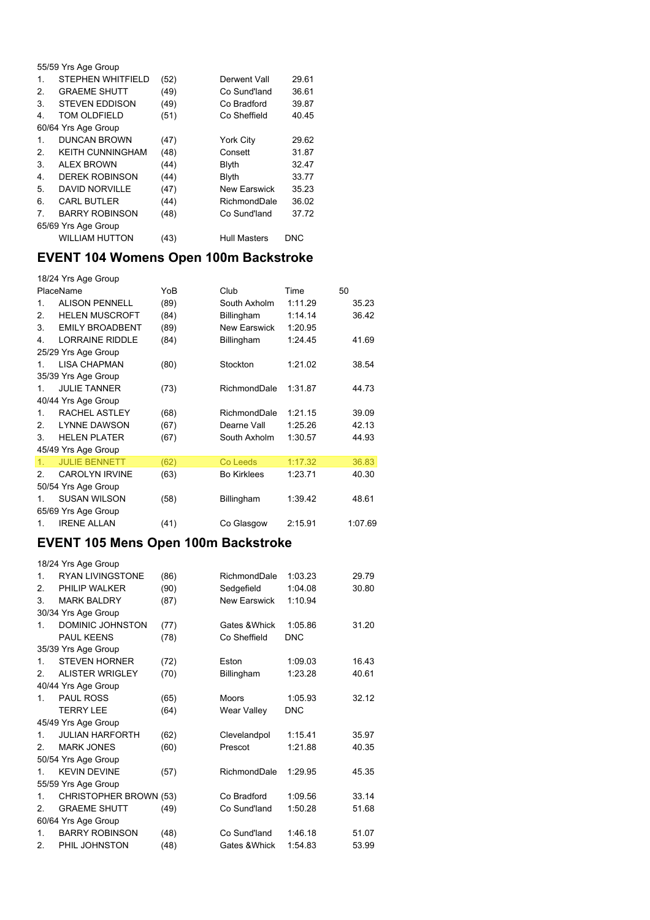|    | 55/59 Yrs Age Group     |      |                     |       |
|----|-------------------------|------|---------------------|-------|
| 1. | STEPHEN WHITFIELD       | (52) | Derwent Vall        | 29.61 |
| 2. | <b>GRAEME SHUTT</b>     | (49) | Co Sund'land        | 36.61 |
| 3. | <b>STEVEN EDDISON</b>   | (49) | Co Bradford         | 39.87 |
| 4. | <b>TOM OLDFIELD</b>     | (51) | Co Sheffield        | 40.45 |
|    | 60/64 Yrs Age Group     |      |                     |       |
| 1. | <b>DUNCAN BROWN</b>     | (47) | York City           | 29.62 |
| 2. | <b>KEITH CUNNINGHAM</b> | (48) | Consett             | 31.87 |
| 3. | <b>ALEX BROWN</b>       | (44) | Blyth               | 32.47 |
| 4. | <b>DEREK ROBINSON</b>   | (44) | <b>Blyth</b>        | 33.77 |
| 5. | <b>DAVID NORVILLE</b>   | (47) | <b>New Earswick</b> | 35.23 |
| 6. | <b>CARL BUTLER</b>      | (44) | RichmondDale        | 36.02 |
| 7. | <b>BARRY ROBINSON</b>   | (48) | Co Sund'land        | 37.72 |
|    | 65/69 Yrs Age Group     |      |                     |       |
|    | <b>WILLIAM HUTTON</b>   | (43) | <b>Hull Masters</b> | DNC   |

## **EVENT 104 Womens Open 100m Backstroke**

|               | 18/24 Yrs Age Group    |      |                    |         |         |
|---------------|------------------------|------|--------------------|---------|---------|
|               | PlaceName              | YoB  | Club               | Time    | 50      |
| 1.            | <b>ALISON PENNELL</b>  | (89) | South Axholm       | 1:11.29 | 35.23   |
| 2.            | <b>HELEN MUSCROFT</b>  | (84) | Billingham         | 1:14.14 | 36.42   |
| 3.            | <b>EMILY BROADBENT</b> | (89) | New Earswick       | 1:20.95 |         |
| 4.            | <b>LORRAINE RIDDLE</b> | (84) | Billingham         | 1:24.45 | 41.69   |
|               | 25/29 Yrs Age Group    |      |                    |         |         |
| 1             | LISA CHAPMAN           | (80) | Stockton           | 1:21.02 | 38.54   |
|               | 35/39 Yrs Age Group    |      |                    |         |         |
| 1             | <b>JULIE TANNER</b>    | (73) | RichmondDale       | 1:31.87 | 44.73   |
|               | 40/44 Yrs Age Group    |      |                    |         |         |
| $\mathbf{1}$  | <b>RACHEL ASTLEY</b>   | (68) | RichmondDale       | 1:21.15 | 39.09   |
| $\mathcal{P}$ | <b>LYNNE DAWSON</b>    | (67) | Dearne Vall        | 1:25.26 | 42.13   |
| 3             | <b>HELEN PLATER</b>    | (67) | South Axholm       | 1:30.57 | 44.93   |
|               | 45/49 Yrs Age Group    |      |                    |         |         |
| 1.            | <b>JULIE BENNETT</b>   | (62) | Co Leeds           | 1:17.32 | 36.83   |
| 2             | <b>CAROLYN IRVINE</b>  | (63) | <b>Bo Kirklees</b> | 1:23.71 | 40.30   |
|               | 50/54 Yrs Age Group    |      |                    |         |         |
| $\mathbf{1}$  | <b>SUSAN WILSON</b>    | (58) | Billingham         | 1:39.42 | 48.61   |
|               | 65/69 Yrs Age Group    |      |                    |         |         |
| 1.            | <b>IRENE ALLAN</b>     | (41) | Co Glasgow         | 2:15.91 | 1:07.69 |
|               |                        |      |                    |         |         |

#### **EVENT 105 Mens Open 100m Backstroke**

|                | 18/24 Yrs Age Group     |      |                     |            |       |
|----------------|-------------------------|------|---------------------|------------|-------|
| $\mathbf 1$    | <b>RYAN LIVINGSTONE</b> | (86) | RichmondDale        | 1:03.23    | 29.79 |
| 2.             | PHILIP WALKER           | (90) | Sedgefield          | 1:04.08    | 30.80 |
| 3              | <b>MARK BALDRY</b>      | (87) | <b>New Earswick</b> | 1:10.94    |       |
|                | 30/34 Yrs Age Group     |      |                     |            |       |
| $\mathbf{1}$   | DOMINIC JOHNSTON        | (77) | Gates & Whick       | 1:05.86    | 31.20 |
|                | <b>PAUL KEENS</b>       | (78) | Co Sheffield        | <b>DNC</b> |       |
|                | 35/39 Yrs Age Group     |      |                     |            |       |
| $\mathbf{1}$   | <b>STEVEN HORNER</b>    | (72) | Eston               | 1:09.03    | 16.43 |
| 2.             | ALISTER WRIGLEY         | (70) | Billingham          | 1:23.28    | 40.61 |
|                | 40/44 Yrs Age Group     |      |                     |            |       |
| $\mathbf 1$    | <b>PAUL ROSS</b>        | (65) | <b>Moors</b>        | 1:05.93    | 32.12 |
|                | <b>TERRY LEE</b>        | (64) | Wear Valley         | <b>DNC</b> |       |
|                | 45/49 Yrs Age Group     |      |                     |            |       |
| $\mathbf{1}$   | <b>JULIAN HARFORTH</b>  | (62) | Clevelandpol        | 1:15.41    | 35.97 |
| $\mathcal{P}$  | <b>MARK JONES</b>       | (60) | Prescot             | 1:21.88    | 40.35 |
|                | 50/54 Yrs Age Group     |      |                     |            |       |
| $\mathbf{1}$   | <b>KEVIN DEVINE</b>     | (57) | RichmondDale        | 1:29.95    | 45.35 |
|                | 55/59 Yrs Age Group     |      |                     |            |       |
| $\mathbf{1}$ . | CHRISTOPHER BROWN (53)  |      | Co Bradford         | 1:09.56    | 33.14 |
| 2.             | <b>GRAEME SHUTT</b>     | (49) | Co Sund'land        | 1:50.28    | 51.68 |
|                | 60/64 Yrs Age Group     |      |                     |            |       |
| $\mathbf 1$    | <b>BARRY ROBINSON</b>   | (48) | Co Sund'land        | 1:46.18    | 51.07 |
| 2.             | PHIL JOHNSTON           | (48) | Gates & Whick       | 1:54.83    | 53.99 |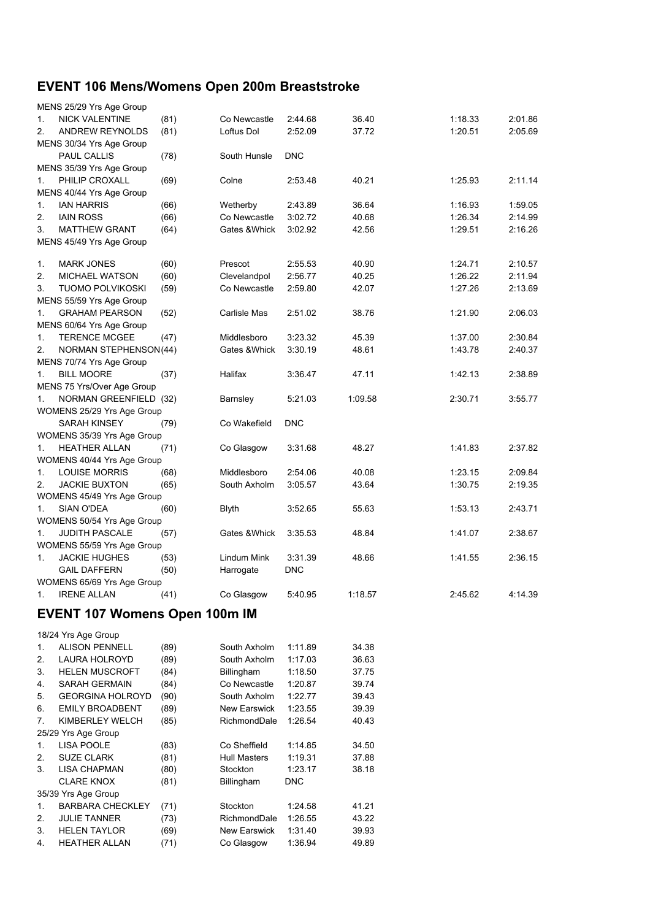# **EVENT 106 Mens/Womens Open 200m Breaststroke**

|    | MENS 25/29 Yrs Age Group      |      |               |            |         |         |         |
|----|-------------------------------|------|---------------|------------|---------|---------|---------|
| 1. | <b>NICK VALENTINE</b>         | (81) | Co Newcastle  | 2:44.68    | 36.40   | 1:18.33 | 2:01.86 |
| 2. | <b>ANDREW REYNOLDS</b>        | (81) | Loftus Dol    | 2:52.09    | 37.72   | 1:20.51 | 2:05.69 |
|    | MENS 30/34 Yrs Age Group      |      |               |            |         |         |         |
|    | <b>PAUL CALLIS</b>            | (78) | South Hunsle  | <b>DNC</b> |         |         |         |
|    | MENS 35/39 Yrs Age Group      |      |               |            |         |         |         |
| 1. | PHILIP CROXALL                | (69) | Colne         | 2:53.48    | 40.21   | 1:25.93 | 2:11.14 |
|    | MENS 40/44 Yrs Age Group      |      |               |            |         |         |         |
| 1. | <b>IAN HARRIS</b>             | (66) | Wetherby      | 2:43.89    | 36.64   | 1:16.93 | 1:59.05 |
| 2. | <b>IAIN ROSS</b>              | (66) | Co Newcastle  | 3:02.72    | 40.68   | 1:26.34 | 2:14.99 |
| 3. | <b>MATTHEW GRANT</b>          | (64) | Gates & Whick | 3:02.92    | 42.56   | 1:29.51 | 2:16.26 |
|    | MENS 45/49 Yrs Age Group      |      |               |            |         |         |         |
|    |                               |      |               |            |         |         |         |
| 1. | <b>MARK JONES</b>             | (60) | Prescot       | 2:55.53    | 40.90   | 1:24.71 | 2:10.57 |
| 2. | <b>MICHAEL WATSON</b>         | (60) | Clevelandpol  | 2:56.77    | 40.25   | 1:26.22 | 2:11.94 |
| 3. | <b>TUOMO POLVIKOSKI</b>       | (59) | Co Newcastle  | 2:59.80    | 42.07   | 1:27.26 | 2:13.69 |
|    | MENS 55/59 Yrs Age Group      |      |               |            |         |         |         |
| 1. | <b>GRAHAM PEARSON</b>         | (52) | Carlisle Mas  | 2:51.02    | 38.76   | 1:21.90 | 2:06.03 |
|    | MENS 60/64 Yrs Age Group      |      |               |            |         |         |         |
| 1. | <b>TERENCE MCGEE</b>          | (47) | Middlesboro   | 3:23.32    | 45.39   | 1:37.00 | 2:30.84 |
| 2. | <b>NORMAN STEPHENSON(44)</b>  |      | Gates & Whick | 3:30.19    | 48.61   | 1:43.78 | 2:40.37 |
|    | MENS 70/74 Yrs Age Group      |      |               |            |         |         |         |
| 1. | <b>BILL MOORE</b>             | (37) | Halifax       | 3:36.47    | 47.11   | 1:42.13 | 2:38.89 |
|    | MENS 75 Yrs/Over Age Group    |      |               |            |         |         |         |
| 1. | NORMAN GREENFIELD (32)        |      | Barnsley      | 5:21.03    | 1:09.58 | 2:30.71 | 3:55.77 |
|    | WOMENS 25/29 Yrs Age Group    |      |               |            |         |         |         |
|    | <b>SARAH KINSEY</b>           | (79) | Co Wakefield  | <b>DNC</b> |         |         |         |
|    | WOMENS 35/39 Yrs Age Group    |      |               |            |         |         |         |
| 1. | <b>HEATHER ALLAN</b>          | (71) | Co Glasgow    | 3:31.68    | 48.27   | 1:41.83 | 2:37.82 |
|    | WOMENS 40/44 Yrs Age Group    |      |               |            |         |         |         |
| 1. | <b>LOUISE MORRIS</b>          | (68) | Middlesboro   | 2:54.06    | 40.08   | 1:23.15 | 2:09.84 |
| 2. | <b>JACKIE BUXTON</b>          | (65) | South Axholm  | 3:05.57    | 43.64   | 1:30.75 | 2:19.35 |
|    | WOMENS 45/49 Yrs Age Group    |      |               |            |         |         |         |
| 1. | <b>SIAN O'DEA</b>             | (60) | <b>Blyth</b>  | 3:52.65    | 55.63   | 1:53.13 | 2:43.71 |
|    | WOMENS 50/54 Yrs Age Group    |      |               |            |         |         |         |
| 1. | <b>JUDITH PASCALE</b>         | (57) | Gates & Whick | 3:35.53    | 48.84   | 1:41.07 | 2:38.67 |
|    | WOMENS 55/59 Yrs Age Group    |      |               |            |         |         |         |
| 1. | <b>JACKIE HUGHES</b>          | (53) | Lindum Mink   | 3:31.39    | 48.66   | 1:41.55 | 2:36.15 |
|    | <b>GAIL DAFFERN</b>           | (50) | Harrogate     | <b>DNC</b> |         |         |         |
|    | WOMENS 65/69 Yrs Age Group    |      |               |            |         |         |         |
| 1. | <b>IRENE ALLAN</b>            | (41) | Co Glasgow    | 5:40.95    | 1:18.57 | 2:45.62 | 4:14.39 |
|    | EVENT 107 Wamang Open 100m IM |      |               |            |         |         |         |

**EVENT 107 Womens Open 100m IM** 

|                | 18/24 Yrs Age Group     |      |                     |            |       |
|----------------|-------------------------|------|---------------------|------------|-------|
| $\mathbf{1}$ . | <b>ALISON PENNELL</b>   | (89) | South Axholm        | 1:11.89    | 34.38 |
| 2.             | LAURA HOLROYD           | (89) | South Axholm        | 1:17.03    | 36.63 |
| 3.             | <b>HELEN MUSCROFT</b>   | (84) | Billingham          | 1:18.50    | 37.75 |
| 4.             | <b>SARAH GERMAIN</b>    | (84) | Co Newcastle        | 1:20.87    | 39.74 |
| 5.             | <b>GEORGINA HOLROYD</b> | (90) | South Axholm        | 1:22.77    | 39.43 |
| 6.             | <b>EMILY BROADBENT</b>  | (89) | New Earswick        | 1:23.55    | 39.39 |
| 7.             | KIMBERLEY WELCH         | (85) | RichmondDale        | 1:26.54    | 40.43 |
|                | 25/29 Yrs Age Group     |      |                     |            |       |
| $\mathbf{1}$ . | <b>LISA POOLE</b>       | (83) | Co Sheffield        | 1:14.85    | 34.50 |
| 2.             | <b>SUZE CLARK</b>       | (81) | <b>Hull Masters</b> | 1:19.31    | 37.88 |
| 3.             | LISA CHAPMAN            | (80) | Stockton            | 1:23.17    | 38.18 |
|                | <b>CLARE KNOX</b>       | (81) | Billingham          | <b>DNC</b> |       |
|                | 35/39 Yrs Age Group     |      |                     |            |       |
| $\mathbf{1}$ . | <b>BARBARA CHECKLEY</b> | (71) | Stockton            | 1:24.58    | 41.21 |
| 2.             | <b>JULIE TANNER</b>     | (73) | RichmondDale        | 1:26.55    | 43.22 |
| 3.             | <b>HELEN TAYLOR</b>     | (69) | New Earswick        | 1:31.40    | 39.93 |
| 4.             | <b>HEATHER ALLAN</b>    | (71) | Co Glasgow          | 1:36.94    | 49.89 |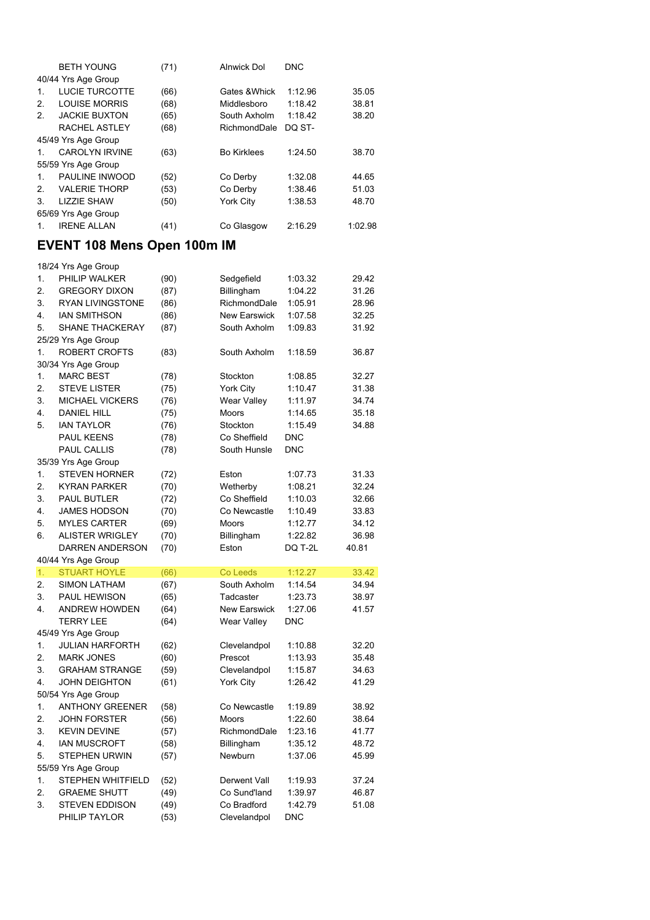|                | <b>BETH YOUNG</b>     | (71) | <b>Alnwick Dol</b> | <b>DNC</b> |         |
|----------------|-----------------------|------|--------------------|------------|---------|
|                | 40/44 Yrs Age Group   |      |                    |            |         |
| $\mathbf{1}$ . | LUCIE TURCOTTE        | (66) | Gates & Whick      | 1:12.96    | 35.05   |
| 2.             | <b>LOUISE MORRIS</b>  | (68) | Middlesboro        | 1:18.42    | 38.81   |
| 2.             | <b>JACKIE BUXTON</b>  | (65) | South Axholm       | 1:18.42    | 38.20   |
|                | RACHEL ASTLEY         | (68) | RichmondDale       | DQ ST-     |         |
|                | 45/49 Yrs Age Group   |      |                    |            |         |
| $\mathbf{1}$   | <b>CAROLYN IRVINE</b> | (63) | <b>Bo Kirklees</b> | 1:24.50    | 38.70   |
|                | 55/59 Yrs Age Group   |      |                    |            |         |
| $\mathbf{1}$   | PAULINE INWOOD        | (52) | Co Derby           | 1:32.08    | 44.65   |
| $\mathcal{P}$  | <b>VALERIE THORP</b>  | (53) | Co Derby           | 1:38.46    | 51.03   |
| 3.             | <b>LIZZIE SHAW</b>    | (50) | <b>York City</b>   | 1:38.53    | 48.70   |
|                | 65/69 Yrs Age Group   |      |                    |            |         |
| 1.             | <b>IRENE ALLAN</b>    | (41) | Co Glasgow         | 2:16.29    | 1:02.98 |

## **EVENT 108 Mens Open 100m IM**

|    | 18/24 Yrs Age Group                           |      |                     |            |       |
|----|-----------------------------------------------|------|---------------------|------------|-------|
| 1. | PHILIP WALKER                                 | (90) | Sedgefield          | 1:03.32    | 29.42 |
| 2. | <b>GREGORY DIXON</b>                          | (87) | Billingham          | 1:04.22    | 31.26 |
| 3. | <b>RYAN LIVINGSTONE</b>                       | (86) | RichmondDale        | 1:05.91    | 28.96 |
| 4. | <b>IAN SMITHSON</b>                           | (86) | <b>New Earswick</b> | 1:07.58    | 32.25 |
| 5. | SHANE THACKERAY                               | (87) | South Axholm        | 1:09.83    | 31.92 |
|    | 25/29 Yrs Age Group                           |      |                     |            |       |
| 1. | <b>ROBERT CROFTS</b>                          | (83) | South Axholm        | 1:18.59    | 36.87 |
|    | 30/34 Yrs Age Group                           |      |                     |            |       |
| 1. | <b>MARC BEST</b>                              | (78) | Stockton            | 1:08.85    | 32.27 |
| 2. | <b>STEVE LISTER</b>                           | (75) | York City           | 1:10.47    | 31.38 |
| 3. | <b>MICHAEL VICKERS</b>                        | (76) | Wear Valley         | 1:11.97    | 34.74 |
| 4. | <b>DANIEL HILL</b>                            | (75) | <b>Moors</b>        | 1:14.65    | 35.18 |
| 5. | <b>IAN TAYLOR</b>                             | (76) | Stockton            | 1:15.49    | 34.88 |
|    | PAUL KEENS                                    | (78) | Co Sheffield        | <b>DNC</b> |       |
|    | <b>PAUL CALLIS</b>                            | (78) | South Hunsle        | <b>DNC</b> |       |
|    | 35/39 Yrs Age Group                           |      |                     |            |       |
| 1. | <b>STEVEN HORNER</b>                          | (72) | Eston               | 1:07.73    | 31.33 |
| 2. | <b>KYRAN PARKER</b>                           | (70) | Wetherby            | 1:08.21    | 32.24 |
| 3. | <b>PAUL BUTLER</b>                            | (72) | Co Sheffield        | 1:10.03    | 32.66 |
| 4. | <b>JAMES HODSON</b>                           | (70) | Co Newcastle        | 1:10.49    | 33.83 |
| 5. | <b>MYLES CARTER</b>                           | (69) | Moors               | 1:12.77    | 34.12 |
| 6. | <b>ALISTER WRIGLEY</b>                        | (70) | Billingham          | 1:22.82    | 36.98 |
|    | <b>DARREN ANDERSON</b>                        | (70) | Eston               | DQ T-2L    | 40.81 |
|    | 40/44 Yrs Age Group                           |      |                     |            |       |
| 1. | <b>STUART HOYLE</b>                           | (66) | Co Leeds            | 1:12.27    | 33.42 |
| 2. | <b>SIMON LATHAM</b>                           | (67) | South Axholm        | 1:14.54    | 34.94 |
| 3. | PAUL HEWISON                                  | (65) | Tadcaster           | 1:23.73    | 38.97 |
| 4. | <b>ANDREW HOWDEN</b>                          | (64) | <b>New Earswick</b> | 1:27.06    | 41.57 |
|    | <b>TERRY LEE</b>                              | (64) | Wear Valley         | DNC        |       |
|    | 45/49 Yrs Age Group                           |      |                     |            |       |
| 1. | <b>JULIAN HARFORTH</b>                        | (62) | Clevelandpol        | 1:10.88    | 32.20 |
| 2. | <b>MARK JONES</b>                             | (60) | Prescot             | 1:13.93    | 35.48 |
| 3. | <b>GRAHAM STRANGE</b>                         |      |                     |            |       |
|    |                                               | (59) | Clevelandpol        | 1:15.87    | 34.63 |
| 4. | <b>JOHN DEIGHTON</b>                          | (61) | York City           | 1:26.42    | 41.29 |
| 1. | 50/54 Yrs Age Group<br><b>ANTHONY GREENER</b> |      | Co Newcastle        |            | 38.92 |
|    |                                               | (58) |                     | 1:19.89    |       |
| 2. | <b>JOHN FORSTER</b>                           | (56) | <b>Moors</b>        | 1:22.60    | 38.64 |
| 3. | <b>KEVIN DEVINE</b>                           | (57) | RichmondDale        | 1:23.16    | 41.77 |
| 4. | <b>IAN MUSCROFT</b>                           | (58) | Billingham          | 1:35.12    | 48.72 |
| 5. | <b>STEPHEN URWIN</b>                          | (57) | Newburn             | 1:37.06    | 45.99 |
|    | 55/59 Yrs Age Group                           |      |                     |            |       |
| 1. | STEPHEN WHITFIELD                             | (52) | Derwent Vall        | 1:19.93    | 37.24 |
| 2. | <b>GRAEME SHUTT</b>                           | (49) | Co Sund'land        | 1:39.97    | 46.87 |
| 3. | <b>STEVEN EDDISON</b>                         | (49) | Co Bradford         | 1:42.79    | 51.08 |
|    | PHILIP TAYLOR                                 | (53) | Clevelandpol        | <b>DNC</b> |       |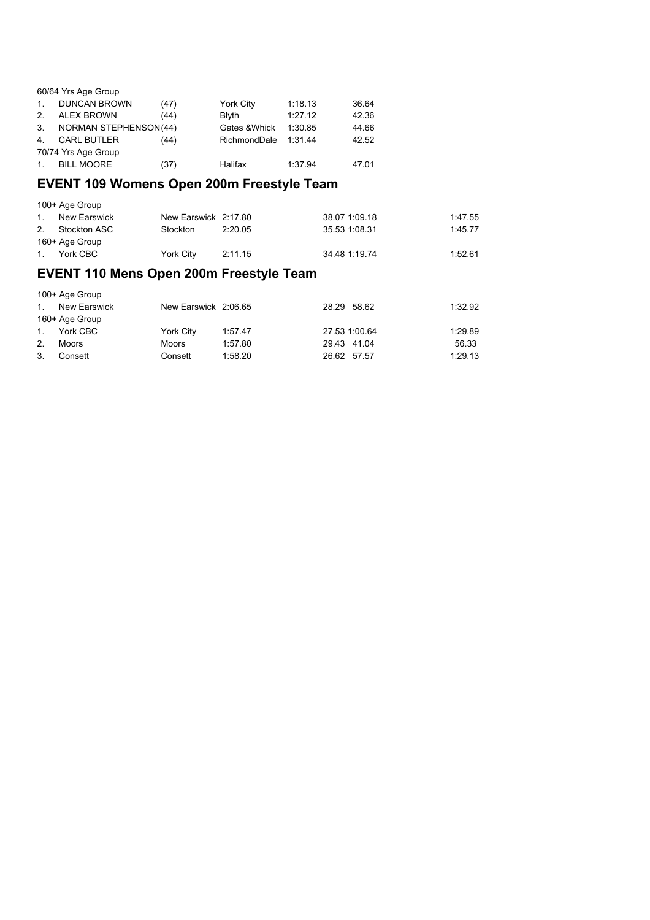|                | 60/64 Yrs Age Group          |      |                  |         |       |
|----------------|------------------------------|------|------------------|---------|-------|
| $\mathbf{1}$ . | <b>DUNCAN BROWN</b>          | (47) | <b>York City</b> | 1:18.13 | 36.64 |
| 2 <sub>1</sub> | <b>ALEX BROWN</b>            | (44) | <b>B</b> lvth    | 1:27.12 | 42.36 |
| 3.             | <b>NORMAN STEPHENSON(44)</b> |      | Gates & Whick    | 1:30.85 | 44.66 |
| 4.             | <b>CARL BUTLER</b>           | (44) | RichmondDale     | 1:31.44 | 42.52 |
|                | 70/74 Yrs Age Group          |      |                  |         |       |
| $1_{-}$        | <b>BILL MOORE</b>            | (37) | Halifax          | 1:37.94 | 47.01 |

### **EVENT 109 Womens Open 200m Freestyle Team**

|                | 100+ Age Group |                      |         |               |         |
|----------------|----------------|----------------------|---------|---------------|---------|
| $\mathbf{1}$ . | New Earswick   | New Earswick 2:17.80 |         | 38.07 1:09.18 | 1:47.55 |
| 2.             | Stockton ASC   | Stockton             | 2:20.05 | 35.53 1:08.31 | 1:45.77 |
|                | 160+ Age Group |                      |         |               |         |
| $1_{1}$        | York CBC       | York City            | 2:11.15 | 34.48 1:19.74 | 1:52.61 |

## **EVENT 110 Mens Open 200m Freestyle Team**

| 100+ Age Group |                |                      |         |               |         |  |  |  |
|----------------|----------------|----------------------|---------|---------------|---------|--|--|--|
| $1_{-}$        | New Earswick   | New Earswick 2:06.65 |         | 28.29 58.62   | 1:32.92 |  |  |  |
|                | 160+ Age Group |                      |         |               |         |  |  |  |
| 1.             | York CBC       | York City            | 1:57.47 | 27.53 1:00.64 | 1:29.89 |  |  |  |
| 2.             | Moors          | Moors                | 1:57.80 | 29.43 41.04   | 56.33   |  |  |  |
| 3.             | Consett        | Consett              | 1:58.20 | 26.62 57.57   | 1:29.13 |  |  |  |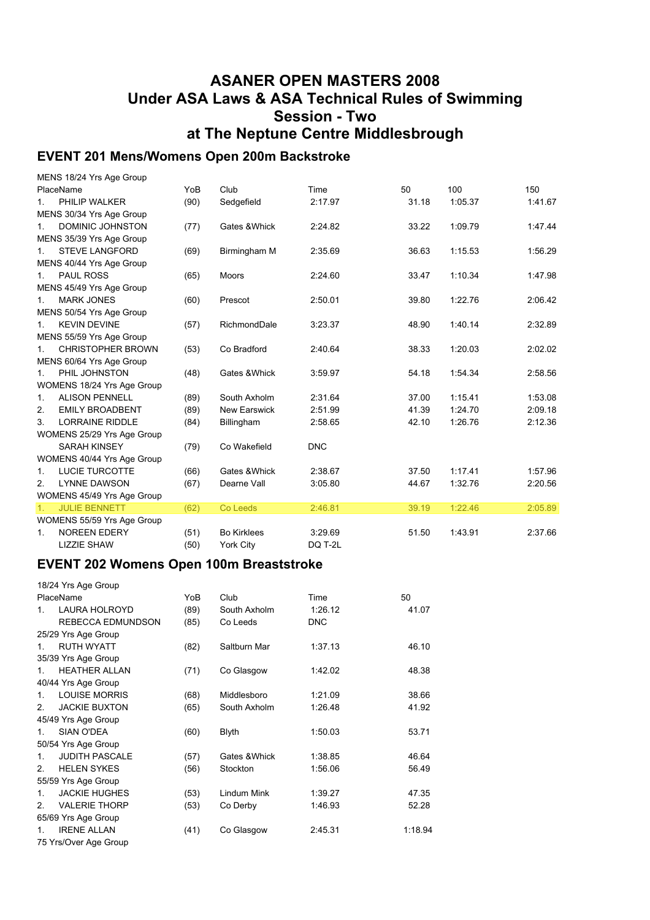### **ASANER OPEN MASTERS 2008 Under ASA Laws & ASA Technical Rules of Swimming Session - Two at The Neptune Centre Middlesbrough**

#### **EVENT 201 Mens/Womens Open 200m Backstroke**

|                | MENS 18/24 Yrs Age Group   |      |                     |            |       |         |         |
|----------------|----------------------------|------|---------------------|------------|-------|---------|---------|
|                | PlaceName                  | YoB  | Club                | Time       | 50    | 100     | 150     |
| $1_{-}$        | PHILIP WALKER              | (90) | Sedgefield          | 2:17.97    | 31.18 | 1:05.37 | 1:41.67 |
|                | MENS 30/34 Yrs Age Group   |      |                     |            |       |         |         |
| 1.             | DOMINIC JOHNSTON           | (77) | Gates & Whick       | 2:24.82    | 33.22 | 1:09.79 | 1:47.44 |
|                | MENS 35/39 Yrs Age Group   |      |                     |            |       |         |         |
| 1.             | <b>STEVE LANGFORD</b>      | (69) | Birmingham M        | 2:35.69    | 36.63 | 1:15.53 | 1:56.29 |
|                | MENS 40/44 Yrs Age Group   |      |                     |            |       |         |         |
| $1_{\cdot}$    | <b>PAUL ROSS</b>           | (65) | Moors               | 2:24.60    | 33.47 | 1:10.34 | 1:47.98 |
|                | MENS 45/49 Yrs Age Group   |      |                     |            |       |         |         |
| $1_{-}$        | <b>MARK JONES</b>          | (60) | Prescot             | 2:50.01    | 39.80 | 1:22.76 | 2:06.42 |
|                | MENS 50/54 Yrs Age Group   |      |                     |            |       |         |         |
| $1_{-}$        | <b>KEVIN DEVINE</b>        | (57) | RichmondDale        | 3:23.37    | 48.90 | 1:40.14 | 2:32.89 |
|                | MENS 55/59 Yrs Age Group   |      |                     |            |       |         |         |
| 1.             | <b>CHRISTOPHER BROWN</b>   | (53) | Co Bradford         | 2:40.64    | 38.33 | 1:20.03 | 2:02.02 |
|                | MENS 60/64 Yrs Age Group   |      |                     |            |       |         |         |
| $1_{-}$        | PHIL JOHNSTON              | (48) | Gates & Whick       | 3:59.97    | 54.18 | 1:54.34 | 2:58.56 |
|                | WOMENS 18/24 Yrs Age Group |      |                     |            |       |         |         |
| 1.             | <b>ALISON PENNELL</b>      | (89) | South Axholm        | 2:31.64    | 37.00 | 1:15.41 | 1:53.08 |
| 2.             | <b>EMILY BROADBENT</b>     | (89) | <b>New Earswick</b> | 2:51.99    | 41.39 | 1:24.70 | 2:09.18 |
| 3.             | <b>LORRAINE RIDDLE</b>     | (84) | Billingham          | 2:58.65    | 42.10 | 1:26.76 | 2:12.36 |
|                | WOMENS 25/29 Yrs Age Group |      |                     |            |       |         |         |
|                | <b>SARAH KINSEY</b>        | (79) | Co Wakefield        | <b>DNC</b> |       |         |         |
|                | WOMENS 40/44 Yrs Age Group |      |                     |            |       |         |         |
| 1.             | <b>LUCIE TURCOTTE</b>      | (66) | Gates & Whick       | 2:38.67    | 37.50 | 1:17.41 | 1:57.96 |
| 2.             | <b>LYNNE DAWSON</b>        | (67) | Dearne Vall         | 3:05.80    | 44.67 | 1:32.76 | 2:20.56 |
|                | WOMENS 45/49 Yrs Age Group |      |                     |            |       |         |         |
| 1 <sub>1</sub> | <b>JULIE BENNETT</b>       | (62) | Co Leeds            | 2:46.81    | 39.19 | 1:22.46 | 2:05.89 |
|                | WOMENS 55/59 Yrs Age Group |      |                     |            |       |         |         |
| 1.             | <b>NOREEN EDERY</b>        | (51) | <b>Bo Kirklees</b>  | 3:29.69    | 51.50 | 1:43.91 | 2:37.66 |
|                | <b>LIZZIE SHAW</b>         | (50) | <b>York City</b>    | DQ T-2L    |       |         |         |

#### **EVENT 202 Womens Open 100m Breaststroke**

|               | 18/24 Yrs Age Group   |      |               |             |         |
|---------------|-----------------------|------|---------------|-------------|---------|
|               | PlaceName             | YoB  | Club          | <b>Time</b> | 50      |
| 1             | LAURA HOLROYD         | (89) | South Axholm  | 1:26.12     | 41.07   |
|               | REBECCA EDMUNDSON     | (85) | Co Leeds      | <b>DNC</b>  |         |
|               | 25/29 Yrs Age Group   |      |               |             |         |
| 1             | <b>RUTH WYATT</b>     | (82) | Saltburn Mar  | 1:37.13     | 46.10   |
|               | 35/39 Yrs Age Group   |      |               |             |         |
| 1.            | <b>HFATHFR ALLAN</b>  | (71) | Co Glasgow    | 1:42.02     | 48.38   |
|               | 40/44 Yrs Age Group   |      |               |             |         |
| 1             | <b>LOUISE MORRIS</b>  | (68) | Middlesboro   | 1:21.09     | 38.66   |
| $\mathcal{P}$ | <b>JACKIE BUXTON</b>  | (65) | South Axholm  | 1:26.48     | 41.92   |
|               | 45/49 Yrs Age Group   |      |               |             |         |
| 1             | <b>SIAN O'DEA</b>     | (60) | <b>Blyth</b>  | 1:50.03     | 53.71   |
|               | 50/54 Yrs Age Group   |      |               |             |         |
| 1             | <b>JUDITH PASCALE</b> | (57) | Gates & Whick | 1:38.85     | 46.64   |
| $\mathcal{P}$ | <b>HELEN SYKES</b>    | (56) | Stockton      | 1:56.06     | 56.49   |
|               | 55/59 Yrs Age Group   |      |               |             |         |
| 1             | <b>JACKIE HUGHES</b>  | (53) | Lindum Mink   | 1:39.27     | 47.35   |
| $\mathcal{P}$ | <b>VALERIE THORP</b>  | (53) | Co Derby      | 1:46.93     | 52.28   |
|               | 65/69 Yrs Age Group   |      |               |             |         |
| 1             | <b>IRENE ALLAN</b>    | (41) | Co Glasgow    | 2:45.31     | 1:18.94 |
|               | 75 Yrs/Over Age Group |      |               |             |         |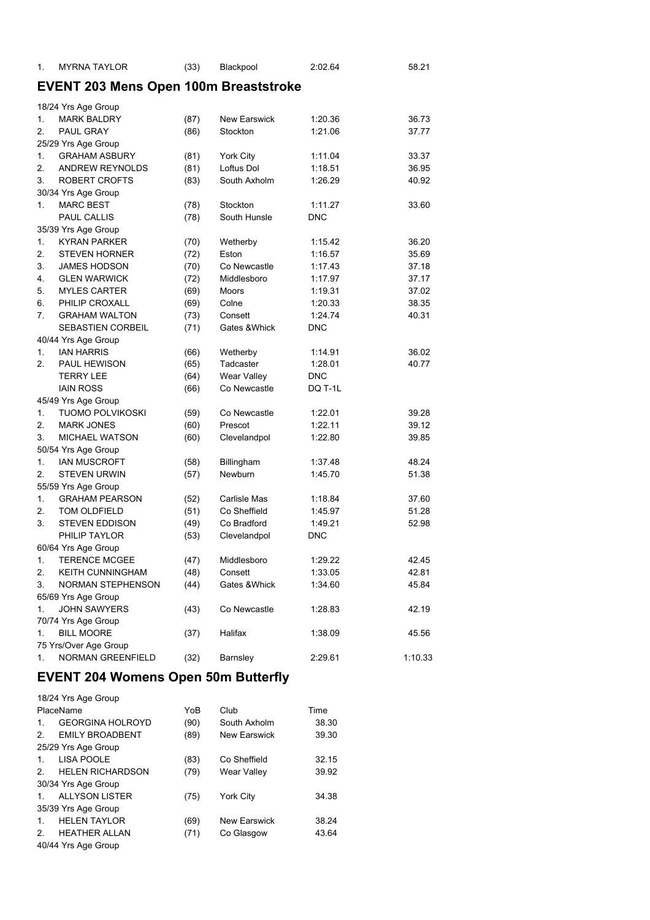| <b>MYRNA TAYLOR</b> | (33) | Blackpool | 2:02.64 | 58.21 |
|---------------------|------|-----------|---------|-------|
|                     |      |           |         |       |

## **EVENT 203 Mens Open 100m Breaststroke**

|                | 18/24 Yrs Age Group      |      |                     |            |         |
|----------------|--------------------------|------|---------------------|------------|---------|
| 1.             | <b>MARK BALDRY</b>       | (87) | <b>New Earswick</b> | 1:20.36    | 36.73   |
| 2.             | PAUL GRAY                | (86) | Stockton            | 1:21.06    | 37.77   |
|                | 25/29 Yrs Age Group      |      |                     |            |         |
| 1.             | <b>GRAHAM ASBURY</b>     | (81) | York City           | 1:11.04    | 33.37   |
| 2.             | <b>ANDREW REYNOLDS</b>   | (81) | Loftus Dol          | 1:18.51    | 36.95   |
| 3.             | <b>ROBERT CROFTS</b>     | (83) | South Axholm        | 1:26.29    | 40.92   |
|                | 30/34 Yrs Age Group      |      |                     |            |         |
| 1 <sub>1</sub> | <b>MARC BEST</b>         | (78) | Stockton            | 1:11.27    | 33.60   |
|                | <b>PAUL CALLIS</b>       | (78) | South Hunsle        | <b>DNC</b> |         |
|                | 35/39 Yrs Age Group      |      |                     |            |         |
| 1.             | <b>KYRAN PARKER</b>      | (70) | Wetherby            | 1:15.42    | 36.20   |
| 2.             | <b>STEVEN HORNER</b>     | (72) | Eston               | 1:16.57    | 35.69   |
| 3.             | <b>JAMES HODSON</b>      | (70) | Co Newcastle        | 1:17.43    | 37.18   |
| 4.             | <b>GLEN WARWICK</b>      | (72) | Middlesboro         | 1:17.97    | 37.17   |
| 5.             | <b>MYLES CARTER</b>      | (69) | Moors               | 1:19.31    | 37.02   |
| 6.             | PHILIP CROXALL           | (69) | Colne               | 1:20.33    | 38.35   |
| 7.             | <b>GRAHAM WALTON</b>     | (73) | Consett             | 1:24.74    | 40.31   |
|                | SEBASTIEN CORBEIL        | (71) | Gates & Whick       | <b>DNC</b> |         |
|                | 40/44 Yrs Age Group      |      |                     |            |         |
| 1.             | <b>JAN HARRIS</b>        | (66) | Wetherby            | 1:14.91    | 36.02   |
| 2.             | PAUL HEWISON             | (65) | Tadcaster           | 1:28.01    | 40.77   |
|                | <b>TERRY LEE</b>         | (64) | <b>Wear Valley</b>  | DNC        |         |
|                | <b>IAIN ROSS</b>         | (66) | Co Newcastle        | DQ T-1L    |         |
|                | 45/49 Yrs Age Group      |      |                     |            |         |
| 1.             | <b>TUOMO POLVIKOSKI</b>  | (59) | Co Newcastle        | 1:22.01    | 39.28   |
| 2.             | <b>MARK JONES</b>        | (60) | Prescot             | 1:22.11    | 39.12   |
| 3.             | <b>MICHAEL WATSON</b>    | (60) | Clevelandpol        | 1:22.80    | 39.85   |
|                | 50/54 Yrs Age Group      |      |                     |            |         |
| 1.             | <b>IAN MUSCROFT</b>      | (58) | Billingham          | 1:37.48    | 48.24   |
| 2.             | <b>STEVEN URWIN</b>      | (57) | Newburn             | 1:45.70    | 51.38   |
|                | 55/59 Yrs Age Group      |      |                     |            |         |
| 1.             | <b>GRAHAM PEARSON</b>    | (52) | Carlisle Mas        | 1:18.84    | 37.60   |
| 2.             | TOM OLDFIELD             | (51) | Co Sheffield        | 1:45.97    | 51.28   |
| 3.             | <b>STEVEN EDDISON</b>    | (49) | Co Bradford         | 1:49.21    | 52.98   |
|                | PHILIP TAYLOR            | (53) | Clevelandpol        | DNC        |         |
|                | 60/64 Yrs Age Group      |      |                     |            |         |
| 1.             | <b>TERENCE MCGEE</b>     | (47) | Middlesboro         | 1:29.22    | 42.45   |
| 2.             | <b>KEITH CUNNINGHAM</b>  | (48) | Consett             | 1:33.05    | 42.81   |
| 3.             | <b>NORMAN STEPHENSON</b> | (44) | Gates & Whick       | 1:34.60    | 45.84   |
|                | 65/69 Yrs Age Group      |      |                     |            |         |
| 1.             | <b>JOHN SAWYERS</b>      | (43) | Co Newcastle        | 1:28.83    | 42.19   |
|                | 70/74 Yrs Age Group      |      |                     |            |         |
| 1.             | <b>BILL MOORE</b>        | (37) | Halifax             | 1:38.09    | 45.56   |
|                | 75 Yrs/Over Age Group    |      |                     |            |         |
| 1.             | <b>NORMAN GREENFIELD</b> | (32) | Barnsley            | 2:29.61    | 1:10.33 |
|                |                          |      |                     |            |         |

### **EVENT 204 Womens Open 50m Butterfly**

|                | 18/24 Yrs Age Group     |      |                     |       |  |  |  |
|----------------|-------------------------|------|---------------------|-------|--|--|--|
|                | PlaceName               | YoB  | Club                | Time  |  |  |  |
| $\mathbf{1}$ . | <b>GEORGINA HOLROYD</b> | (90) | South Axholm        | 38.30 |  |  |  |
| 2              | <b>EMILY BROADBENT</b>  | (89) | <b>New Earswick</b> | 39.30 |  |  |  |
|                | 25/29 Yrs Age Group     |      |                     |       |  |  |  |
| $\mathbf{1}$ . | LISA POOLE              | (83) | Co Sheffield        | 32.15 |  |  |  |
| $\mathcal{P}$  | <b>HELEN RICHARDSON</b> | (79) | <b>Wear Valley</b>  | 39.92 |  |  |  |
|                | 30/34 Yrs Age Group     |      |                     |       |  |  |  |
| 1.             | <b>ALLYSON LISTER</b>   | (75) | <b>York City</b>    | 34.38 |  |  |  |
|                | 35/39 Yrs Age Group     |      |                     |       |  |  |  |
| $\mathbf{1}$ . | <b>HELEN TAYLOR</b>     | (69) | <b>New Earswick</b> | 38.24 |  |  |  |
| 2              | <b>HEATHER ALLAN</b>    | (71) | Co Glasgow          | 43.64 |  |  |  |
|                | 40/44 Yrs Age Group     |      |                     |       |  |  |  |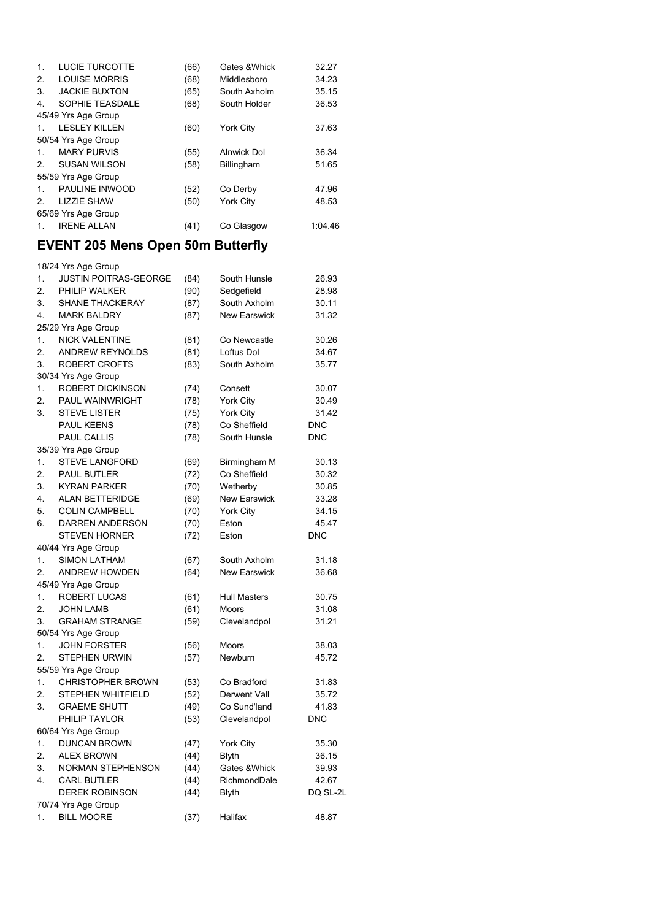| $\mathbf{1}$ . | LUCIE TURCOTTE       | (66) | Gates & Whick    | 32.27   |
|----------------|----------------------|------|------------------|---------|
| 2.             | <b>LOUISE MORRIS</b> | (68) | Middlesboro      | 34.23   |
| 3.             | <b>JACKIE BUXTON</b> | (65) | South Axholm     | 35.15   |
| 4.             | SOPHIE TEASDALE      | (68) | South Holder     | 36.53   |
|                | 45/49 Yrs Age Group  |      |                  |         |
| $\mathbf{1}$ . | <b>LESLEY KILLEN</b> | (60) | <b>York City</b> | 37.63   |
|                | 50/54 Yrs Age Group  |      |                  |         |
| $1_{-}$        | <b>MARY PURVIS</b>   | (55) | Alnwick Dol      | 36.34   |
| 2 <sub>1</sub> | <b>SUSAN WILSON</b>  | (58) | Billingham       | 51.65   |
|                | 55/59 Yrs Age Group  |      |                  |         |
| $1_{-}$        | PAULINE INWOOD       | (52) | Co Derby         | 47.96   |
| 2              | <b>LIZZIE SHAW</b>   | (50) | York City        | 48.53   |
|                | 65/69 Yrs Age Group  |      |                  |         |
| 1.             | <b>IRENE ALLAN</b>   | (41) | Co Glasgow       | 1:04.46 |
|                |                      |      |                  |         |

## **EVENT 205 Mens Open 50m Butterfly**

|    | 18/24 Yrs Age Group          |      |                     |            |
|----|------------------------------|------|---------------------|------------|
| 1. | <b>JUSTIN POITRAS-GEORGE</b> | (84) | South Hunsle        | 26.93      |
| 2. | PHILIP WALKER                | (90) | Sedgefield          | 28.98      |
| 3. | SHANE THACKERAY              | (87) | South Axholm        | 30.11      |
| 4. | <b>MARK BALDRY</b>           | (87) | <b>New Earswick</b> | 31.32      |
|    | 25/29 Yrs Age Group          |      |                     |            |
| 1. | <b>NICK VALENTINE</b>        | (81) | Co Newcastle        | 30.26      |
| 2. | <b>ANDREW REYNOLDS</b>       | (81) | Loftus Dol          | 34.67      |
| 3. | ROBERT CROFTS                | (83) | South Axholm        | 35.77      |
|    | 30/34 Yrs Age Group          |      |                     |            |
| 1. | <b>ROBERT DICKINSON</b>      | (74) | Consett             | 30.07      |
| 2. | <b>PAUL WAINWRIGHT</b>       | (78) | York City           | 30.49      |
| 3. | <b>STEVE LISTER</b>          | (75) | York City           | 31.42      |
|    | <b>PAUL KEENS</b>            | (78) | Co Sheffield        | <b>DNC</b> |
|    | PAUL CALLIS                  | (78) | South Hunsle        | <b>DNC</b> |
|    | 35/39 Yrs Age Group          |      |                     |            |
| 1. | <b>STEVE LANGFORD</b>        | (69) | Birmingham M        | 30.13      |
| 2. | PAUL BUTLER                  | (72) | Co Sheffield        | 30.32      |
| 3. | <b>KYRAN PARKER</b>          | (70) | Wetherby            | 30.85      |
| 4. | <b>ALAN BETTERIDGE</b>       | (69) | <b>New Earswick</b> | 33.28      |
| 5. | <b>COLIN CAMPBELL</b>        | (70) | <b>York City</b>    | 34.15      |
| 6. | <b>DARREN ANDERSON</b>       | (70) | Eston               | 45.47      |
|    | <b>STEVEN HORNER</b>         | (72) | Eston               | <b>DNC</b> |
|    | 40/44 Yrs Age Group          |      |                     |            |
| 1. | <b>SIMON LATHAM</b>          | (67) | South Axholm        | 31.18      |
| 2. | <b>ANDREW HOWDEN</b>         | (64) | New Earswick        | 36.68      |
|    | 45/49 Yrs Age Group          |      |                     |            |
| 1. | ROBERT LUCAS                 | (61) | <b>Hull Masters</b> | 30.75      |
| 2. | <b>JOHN LAMB</b>             | (61) | <b>Moors</b>        | 31.08      |
| 3. | <b>GRAHAM STRANGE</b>        | (59) | Clevelandpol        | 31.21      |
|    | 50/54 Yrs Age Group          |      |                     |            |
| 1. | <b>JOHN FORSTER</b>          | (56) | <b>Moors</b>        | 38.03      |
| 2. | <b>STEPHEN URWIN</b>         | (57) | Newburn             | 45.72      |
|    | 55/59 Yrs Age Group          |      |                     |            |
| 1. | <b>CHRISTOPHER BROWN</b>     | (53) | Co Bradford         | 31.83      |
| 2. | STEPHEN WHITFIELD            | (52) | Derwent Vall        | 35.72      |
| 3. | <b>GRAEME SHUTT</b>          | (49) | Co Sund'land        | 41.83      |
|    | PHILIP TAYLOR                | (53) | Clevelandpol        | <b>DNC</b> |
|    | 60/64 Yrs Age Group          |      |                     |            |
| 1. | <b>DUNCAN BROWN</b>          | (47) | York City           | 35.30      |
| 2. | <b>ALEX BROWN</b>            | (44) | <b>Blyth</b>        | 36.15      |
| 3. | <b>NORMAN STEPHENSON</b>     | (44) | Gates & Whick       | 39.93      |
| 4. | <b>CARL BUTLER</b>           | (44) | RichmondDale        | 42.67      |
|    | <b>DEREK ROBINSON</b>        | (44) | <b>Blyth</b>        | DQ SL-2L   |
|    | 70/74 Yrs Age Group          |      |                     |            |
| 1. | <b>BILL MOORE</b>            | (37) | Halifax             | 48.87      |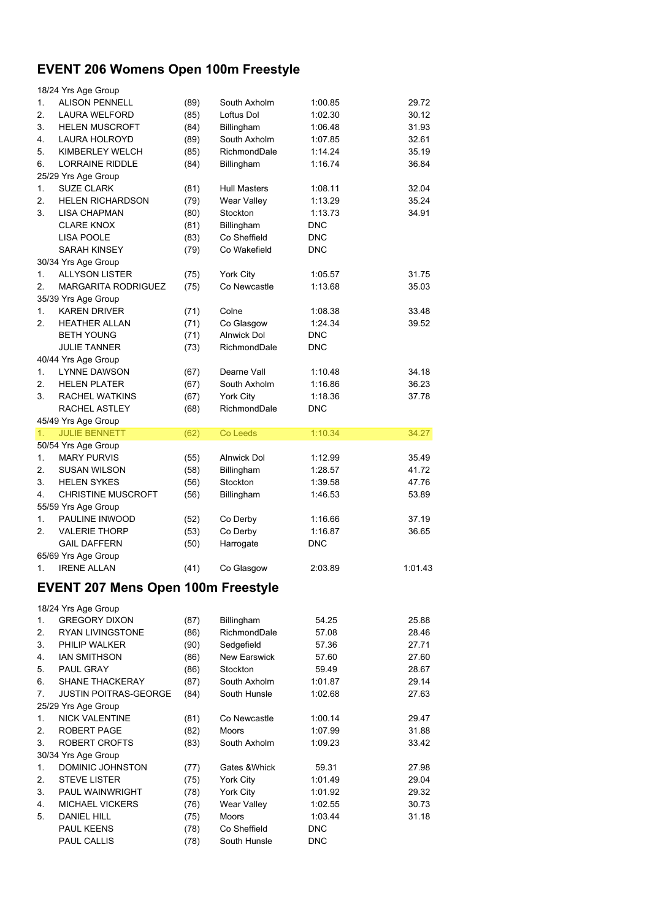## **EVENT 206 Womens Open 100m Freestyle**

|          | 18/24 Yrs Age Group                       |              |                       |                       |                |
|----------|-------------------------------------------|--------------|-----------------------|-----------------------|----------------|
| 1.       | <b>ALISON PENNELL</b>                     | (89)         | South Axholm          | 1:00.85               | 29.72          |
| 2.       | LAURA WELFORD                             | (85)         | Loftus Dol            | 1:02.30               | 30.12          |
| 3.       | <b>HELEN MUSCROFT</b>                     | (84)         | Billingham            | 1:06.48               | 31.93          |
| 4.       | <b>LAURA HOLROYD</b>                      | (89)         | South Axholm          | 1:07.85               | 32.61          |
| 5.       | KIMBERLEY WELCH                           | (85)         | RichmondDale          | 1:14.24               | 35.19          |
| 6.       | LORRAINE RIDDLE                           | (84)         | Billingham            | 1:16.74               | 36.84          |
|          | 25/29 Yrs Age Group                       |              |                       |                       |                |
| 1.       | <b>SUZE CLARK</b>                         | (81)         | <b>Hull Masters</b>   | 1:08.11               | 32.04          |
| 2.       | <b>HELEN RICHARDSON</b>                   | (79)         | Wear Valley           | 1:13.29               | 35.24          |
| 3.       | <b>LISA CHAPMAN</b>                       | (80)         | Stockton              | 1:13.73               | 34.91          |
|          | <b>CLARE KNOX</b>                         | (81)         | Billingham            | <b>DNC</b>            |                |
|          | <b>LISA POOLE</b>                         | (83)         | Co Sheffield          | <b>DNC</b>            |                |
|          | <b>SARAH KINSEY</b>                       | (79)         | Co Wakefield          | <b>DNC</b>            |                |
|          | 30/34 Yrs Age Group                       |              |                       |                       |                |
| 1.       | <b>ALLYSON LISTER</b>                     | (75)         | <b>York City</b>      | 1:05.57               | 31.75          |
| 2.       | <b>MARGARITA RODRIGUEZ</b>                | (75)         | Co Newcastle          | 1:13.68               | 35.03          |
|          | 35/39 Yrs Age Group                       |              |                       |                       |                |
| 1.       | <b>KAREN DRIVER</b>                       | (71)         | Colne                 | 1:08.38               | 33.48          |
| 2.       | <b>HEATHER ALLAN</b>                      | (71)         | Co Glasgow            | 1:24.34               | 39.52          |
|          | <b>BETH YOUNG</b>                         | (71)         | <b>Alnwick Dol</b>    | <b>DNC</b>            |                |
|          | <b>JULIE TANNER</b>                       | (73)         | RichmondDale          | <b>DNC</b>            |                |
|          | 40/44 Yrs Age Group                       |              |                       |                       |                |
| 1.       | <b>LYNNE DAWSON</b>                       | (67)         | Dearne Vall           | 1:10.48               | 34.18          |
| 2.       | <b>HELEN PLATER</b>                       | (67)         | South Axholm          | 1:16.86               | 36.23          |
| 3.       | RACHEL WATKINS                            | (67)         | York City             | 1:18.36               | 37.78          |
|          | RACHEL ASTLEY                             | (68)         | RichmondDale          | <b>DNC</b>            |                |
|          | 45/49 Yrs Age Group                       |              |                       |                       |                |
| 1.       | <b>JULIE BENNETT</b>                      | (62)         | Co Leeds              | 1:10.34               | 34.27          |
| 1.       | 50/54 Yrs Age Group<br><b>MARY PURVIS</b> |              |                       |                       |                |
| 2.       |                                           | (55)         | Alnwick Dol           | 1:12.99               | 35.49<br>41.72 |
|          | <b>SUSAN WILSON</b>                       | (58)         | Billingham            | 1:28.57               |                |
| 3.<br>4. | <b>HELEN SYKES</b>                        | (56)         | Stockton              | 1:39.58               | 47.76          |
|          | <b>CHRISTINE MUSCROFT</b>                 | (56)         | Billingham            | 1:46.53               | 53.89          |
| 1.       | 55/59 Yrs Age Group<br>PAULINE INWOOD     |              |                       |                       |                |
| 2.       | <b>VALERIE THORP</b>                      | (52)         | Co Derby              | 1:16.66               | 37.19          |
|          | <b>GAIL DAFFERN</b>                       | (53)<br>(50) | Co Derby<br>Harrogate | 1:16.87<br><b>DNC</b> | 36.65          |
|          | 65/69 Yrs Age Group                       |              |                       |                       |                |
| 1.       | <b>IRENE ALLAN</b>                        | (41)         | Co Glasgow            | 2:03.89               | 1:01.43        |
|          |                                           |              |                       |                       |                |
|          | <b>EVENT 207 Mens Open 100m Freestyle</b> |              |                       |                       |                |
|          | 18/24 Yrs Age Group                       |              |                       |                       |                |
| 1.       | <b>GREGORY DIXON</b>                      | (87)         | Billingham            | 54.25                 | 25.88          |
| 2.       | <b>RYAN LIVINGSTONE</b>                   | (86)         | RichmondDale          | 57.08                 | 28.46          |
| 3.       | PHILIP WALKER                             | (90)         | Sedgefield            | 57.36                 | 27.71          |
| 4.       | <b>IAN SMITHSON</b>                       | (86)         | New Earswick          | 57.60                 | 27.60          |
| 5.       | PAUL GRAY                                 | (86)         | Stockton              | 59.49                 | 28.67          |
| 6.       | <b>SHANE THACKERAY</b>                    | (87)         | South Axholm          | 1:01.87               | 29.14          |
| 7.       | <b>JUSTIN POITRAS-GEORGE</b>              | (84)         | South Hunsle          | 1:02.68               | 27.63          |
|          | 25/29 Yrs Age Group                       |              |                       |                       |                |
| 1.       | <b>NICK VALENTINE</b>                     | (81)         | Co Newcastle          | 1:00.14               | 29.47          |
| 2.       | ROBERT PAGE                               | (82)         | Moors                 | 1:07.99               | 31.88          |
| 3.       | ROBERT CROFTS                             | (83)         | South Axholm          | 1:09.23               | 33.42          |
|          | 30/34 Yrs Age Group                       |              |                       |                       |                |
| 1.       | DOMINIC JOHNSTON                          | (77)         | Gates & Whick         | 59.31                 | 27.98          |
| 2.       | <b>STEVE LISTER</b>                       | (75)         | York City             | 1:01.49               | 29.04          |
| 3.       | PAUL WAINWRIGHT                           | (78)         | York City             | 1:01.92               | 29.32          |
| 4.       | MICHAEL VICKERS                           | (76)         | Wear Valley           | 1:02.55               | 30.73          |
| 5.       | <b>DANIEL HILL</b>                        | (75)         | Moors                 | 1:03.44               | 31.18          |
|          | <b>PAUL KEENS</b>                         | (78)         | Co Sheffield          | <b>DNC</b>            |                |
|          | PAUL CALLIS                               | (78)         | South Hunsle          | <b>DNC</b>            |                |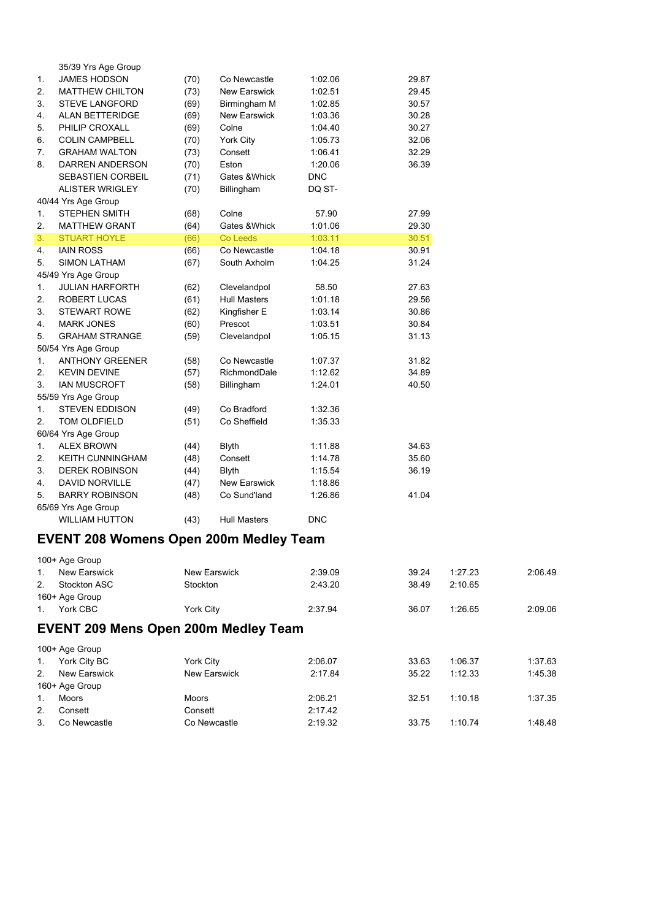|    | 35/39 Yrs Age Group     |      |                     |            |       |
|----|-------------------------|------|---------------------|------------|-------|
| 1. | <b>JAMES HODSON</b>     | (70) | Co Newcastle        | 1:02.06    | 29.87 |
| 2. | <b>MATTHEW CHILTON</b>  | (73) | <b>New Earswick</b> | 1:02.51    | 29.45 |
| 3. | STEVE LANGFORD          | (69) | Birmingham M        | 1:02.85    | 30.57 |
| 4. | <b>ALAN BETTERIDGE</b>  | (69) | <b>New Earswick</b> | 1:03.36    | 30.28 |
| 5. | PHILIP CROXALL          | (69) | Colne               | 1:04.40    | 30.27 |
| 6. | <b>COLIN CAMPBELL</b>   | (70) | York City           | 1:05.73    | 32.06 |
| 7. | <b>GRAHAM WALTON</b>    | (73) | Consett             | 1:06.41    | 32.29 |
| 8. | DARREN ANDERSON         | (70) | Eston               | 1:20.06    | 36.39 |
|    | SEBASTIEN CORBEIL       | (71) | Gates & Whick       | <b>DNC</b> |       |
|    | <b>ALISTER WRIGLEY</b>  | (70) | Billingham          | DQ ST-     |       |
|    | 40/44 Yrs Age Group     |      |                     |            |       |
| 1. | <b>STEPHEN SMITH</b>    | (68) | Colne               | 57.90      | 27.99 |
| 2. | <b>MATTHEW GRANT</b>    | (64) | Gates & Whick       | 1:01.06    | 29.30 |
| 3. | <b>STUART HOYLE</b>     | (66) | Co Leeds            | 1:03.11    | 30.51 |
| 4. | <b>IAIN ROSS</b>        | (66) | Co Newcastle        | 1:04.18    | 30.91 |
| 5. | <b>SIMON LATHAM</b>     | (67) | South Axholm        | 1:04.25    | 31.24 |
|    | 45/49 Yrs Age Group     |      |                     |            |       |
| 1. | <b>JULIAN HARFORTH</b>  | (62) | Clevelandpol        | 58.50      | 27.63 |
| 2. | <b>ROBERT LUCAS</b>     | (61) | <b>Hull Masters</b> | 1:01.18    | 29.56 |
| 3. | <b>STEWART ROWE</b>     | (62) | Kingfisher E        | 1:03.14    | 30.86 |
| 4. | <b>MARK JONES</b>       | (60) | Prescot             | 1:03.51    | 30.84 |
| 5. | <b>GRAHAM STRANGE</b>   | (59) | Clevelandpol        | 1:05.15    | 31.13 |
|    | 50/54 Yrs Age Group     |      |                     |            |       |
| 1. | <b>ANTHONY GREENER</b>  | (58) | Co Newcastle        | 1:07.37    | 31.82 |
| 2. | <b>KEVIN DEVINE</b>     | (57) | RichmondDale        | 1:12.62    | 34.89 |
| 3. | <b>IAN MUSCROFT</b>     | (58) | Billingham          | 1:24.01    | 40.50 |
|    | 55/59 Yrs Age Group     |      |                     |            |       |
| 1. | <b>STEVEN EDDISON</b>   | (49) | Co Bradford         | 1:32.36    |       |
| 2. | TOM OLDFIELD            | (51) | Co Sheffield        | 1:35.33    |       |
|    | 60/64 Yrs Age Group     |      |                     |            |       |
| 1. | <b>ALEX BROWN</b>       | (44) | <b>Blyth</b>        | 1:11.88    | 34.63 |
| 2. | <b>KEITH CUNNINGHAM</b> | (48) | Consett             | 1:14.78    | 35.60 |
| 3. | <b>DEREK ROBINSON</b>   | (44) | <b>Blyth</b>        | 1:15.54    | 36.19 |
| 4. | <b>DAVID NORVILLE</b>   | (47) | <b>New Earswick</b> | 1:18.86    |       |
| 5. | <b>BARRY ROBINSON</b>   | (48) | Co Sund'land        | 1:26.86    | 41.04 |
|    | 65/69 Yrs Age Group     |      |                     |            |       |
|    | <b>WILLIAM HUTTON</b>   | (43) | <b>Hull Masters</b> | <b>DNC</b> |       |

## **EVENT 208 Womens Open 200m Medley Team**

|                | 100+ Age Group |              |         |       |         |         |
|----------------|----------------|--------------|---------|-------|---------|---------|
| $1_{\cdot}$    | New Earswick   | New Earswick | 2:39.09 | 39.24 | 1:27.23 | 2:06.49 |
| 2 <sup>1</sup> | Stockton ASC   | Stockton     | 2:43.20 | 38.49 | 2:10.65 |         |
|                | 160+ Age Group |              |         |       |         |         |
|                | York CBC       | York City    | 2:37.94 | 36.07 | 1:26.65 | 2:09.06 |

## **EVENT 209 Mens Open 200m Medley Team**

|                | 100+ Age Group      |                     |         |       |         |         |
|----------------|---------------------|---------------------|---------|-------|---------|---------|
| 1.             | York City BC        | York City           | 2:06.07 | 33.63 | 1:06.37 | 1:37.63 |
| 2 <sub>1</sub> | <b>New Earswick</b> | <b>New Earswick</b> | 2:17.84 | 35.22 | 1:12.33 | 1:45.38 |
|                | 160+ Age Group      |                     |         |       |         |         |
| 1.             | Moors               | Moors               | 2:06.21 | 32.51 | 1:10.18 | 1:37.35 |
| 2.             | Consett             | Consett             | 2:17.42 |       |         |         |
| 3.             | Co Newcastle        | Co Newcastle        | 2:19.32 | 33.75 | 1:10.74 | 1:48.48 |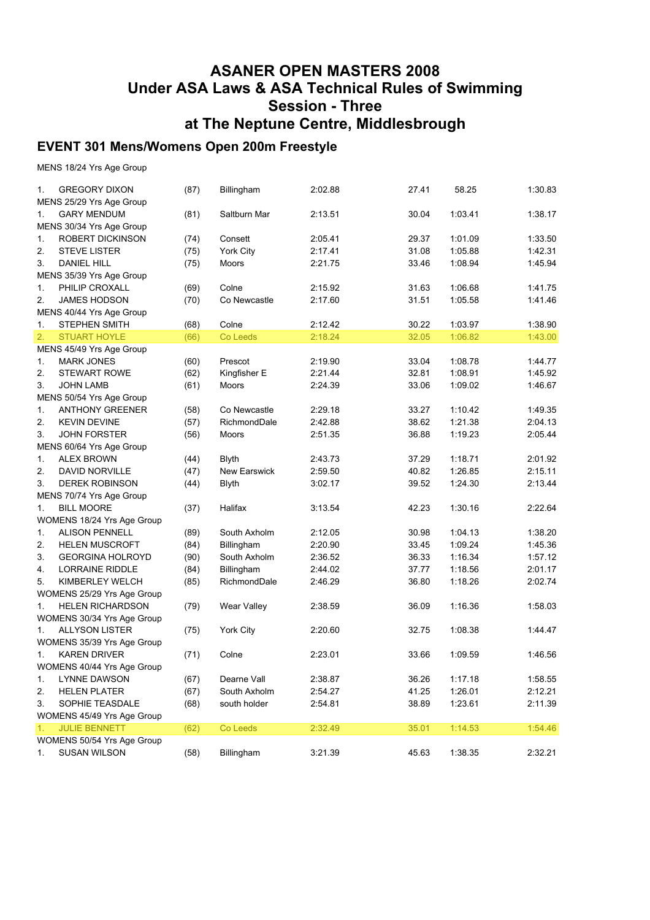#### **ASANER OPEN MASTERS 2008 Under ASA Laws & ASA Technical Rules of Swimming Session - Three at The Neptune Centre, Middlesbrough**

#### **EVENT 301 Mens/Womens Open 200m Freestyle**

MENS 18/24 Yrs Age Group

| 1. | <b>GREGORY DIXON</b>                          | (87) | Billingham          | 2:02.88 | 27.41 | 58.25   | 1:30.83 |
|----|-----------------------------------------------|------|---------------------|---------|-------|---------|---------|
|    | MENS 25/29 Yrs Age Group                      |      |                     |         |       |         |         |
| 1. | <b>GARY MENDUM</b>                            | (81) | Saltburn Mar        | 2:13.51 | 30.04 | 1:03.41 | 1:38.17 |
|    | MENS 30/34 Yrs Age Group                      |      |                     |         |       |         |         |
| 1. | ROBERT DICKINSON                              | (74) | Consett             | 2:05.41 | 29.37 | 1:01.09 | 1:33.50 |
| 2. | <b>STEVE LISTER</b>                           | (75) | York City           | 2:17.41 | 31.08 | 1:05.88 | 1:42.31 |
| 3. | <b>DANIEL HILL</b>                            | (75) | Moors               | 2:21.75 | 33.46 | 1:08.94 | 1:45.94 |
|    | MENS 35/39 Yrs Age Group                      |      |                     |         |       |         |         |
| 1. | PHILIP CROXALL                                | (69) | Colne               | 2:15.92 | 31.63 | 1:06.68 | 1:41.75 |
| 2. | <b>JAMES HODSON</b>                           | (70) | Co Newcastle        | 2:17.60 | 31.51 | 1:05.58 | 1:41.46 |
|    | MENS 40/44 Yrs Age Group                      |      |                     |         |       |         |         |
| 1. | <b>STEPHEN SMITH</b>                          | (68) | Colne               | 2:12.42 | 30.22 | 1:03.97 | 1:38.90 |
| 2. | <b>STUART HOYLE</b>                           | (66) | Co Leeds            | 2:18.24 | 32.05 | 1:06.82 | 1:43.00 |
|    | MENS 45/49 Yrs Age Group                      |      |                     |         |       |         |         |
| 1. | <b>MARK JONES</b>                             | (60) | Prescot             | 2:19.90 | 33.04 | 1:08.78 | 1:44.77 |
| 2. | STEWART ROWE                                  | (62) | Kingfisher E        | 2:21.44 | 32.81 | 1:08.91 | 1:45.92 |
| 3. | <b>JOHN LAMB</b>                              | (61) | Moors               | 2:24.39 | 33.06 | 1:09.02 | 1:46.67 |
|    | MENS 50/54 Yrs Age Group                      |      |                     |         |       |         |         |
| 1. | <b>ANTHONY GREENER</b>                        | (58) | Co Newcastle        | 2:29.18 | 33.27 | 1:10.42 | 1:49.35 |
| 2. | <b>KEVIN DEVINE</b>                           | (57) | RichmondDale        | 2:42.88 | 38.62 | 1:21.38 | 2:04.13 |
| 3. | <b>JOHN FORSTER</b>                           | (56) | Moors               | 2:51.35 | 36.88 | 1:19.23 | 2:05.44 |
|    | MENS 60/64 Yrs Age Group                      |      |                     |         |       |         |         |
| 1. | <b>ALEX BROWN</b>                             | (44) | <b>Blyth</b>        | 2:43.73 | 37.29 | 1:18.71 | 2:01.92 |
| 2. | <b>DAVID NORVILLE</b>                         | (47) | <b>New Earswick</b> | 2:59.50 | 40.82 | 1:26.85 | 2:15.11 |
| 3. | <b>DEREK ROBINSON</b>                         | (44) | <b>Blyth</b>        | 3:02.17 | 39.52 | 1:24.30 | 2:13.44 |
|    |                                               |      |                     |         |       |         |         |
|    | MENS 70/74 Yrs Age Group<br><b>BILL MOORE</b> |      | Halifax             |         | 42.23 | 1:30.16 | 2:22.64 |
| 1. |                                               | (37) |                     | 3:13.54 |       |         |         |
|    | WOMENS 18/24 Yrs Age Group                    |      |                     |         |       |         |         |
| 1. | <b>ALISON PENNELL</b>                         | (89) | South Axholm        | 2:12.05 | 30.98 | 1:04.13 | 1:38.20 |
| 2. | <b>HELEN MUSCROFT</b>                         | (84) | Billingham          | 2:20.90 | 33.45 | 1:09.24 | 1:45.36 |
| 3. | <b>GEORGINA HOLROYD</b>                       | (90) | South Axholm        | 2:36.52 | 36.33 | 1:16.34 | 1:57.12 |
| 4. | <b>LORRAINE RIDDLE</b>                        | (84) | Billingham          | 2:44.02 | 37.77 | 1:18.56 | 2:01.17 |
| 5. | KIMBERLEY WELCH                               | (85) | RichmondDale        | 2:46.29 | 36.80 | 1:18.26 | 2:02.74 |
|    | WOMENS 25/29 Yrs Age Group                    |      |                     |         |       |         |         |
| 1. | <b>HELEN RICHARDSON</b>                       | (79) | Wear Valley         | 2:38.59 | 36.09 | 1:16.36 | 1:58.03 |
|    | WOMENS 30/34 Yrs Age Group                    |      |                     |         |       |         |         |
| 1. | <b>ALLYSON LISTER</b>                         | (75) | York City           | 2:20.60 | 32.75 | 1:08.38 | 1:44.47 |
|    | WOMENS 35/39 Yrs Age Group                    |      |                     |         |       |         |         |
| 1. | <b>KAREN DRIVER</b>                           | (71) | Colne               | 2:23.01 | 33.66 | 1:09.59 | 1:46.56 |
|    | WOMENS 40/44 Yrs Age Group                    |      |                     |         |       |         |         |
| 1. | LYNNE DAWSON                                  | (67) | Dearne Vall         | 2:38.87 | 36.26 | 1:17.18 | 1:58.55 |
| 2. | <b>HELEN PLATER</b>                           | (67) | South Axholm        | 2:54.27 | 41.25 | 1:26.01 | 2:12.21 |
| 3. | SOPHIE TEASDALE                               | (68) | south holder        | 2:54.81 | 38.89 | 1:23.61 | 2:11.39 |
|    | WOMENS 45/49 Yrs Age Group                    |      |                     |         |       |         |         |
| 1. | <b>JULIE BENNETT</b>                          | (62) | Co Leeds            | 2:32.49 | 35.01 | 1:14.53 | 1:54.46 |
|    | WOMENS 50/54 Yrs Age Group                    |      |                     |         |       |         |         |
| 1. | <b>SUSAN WILSON</b>                           | (58) | Billingham          | 3:21.39 | 45.63 | 1:38.35 | 2:32.21 |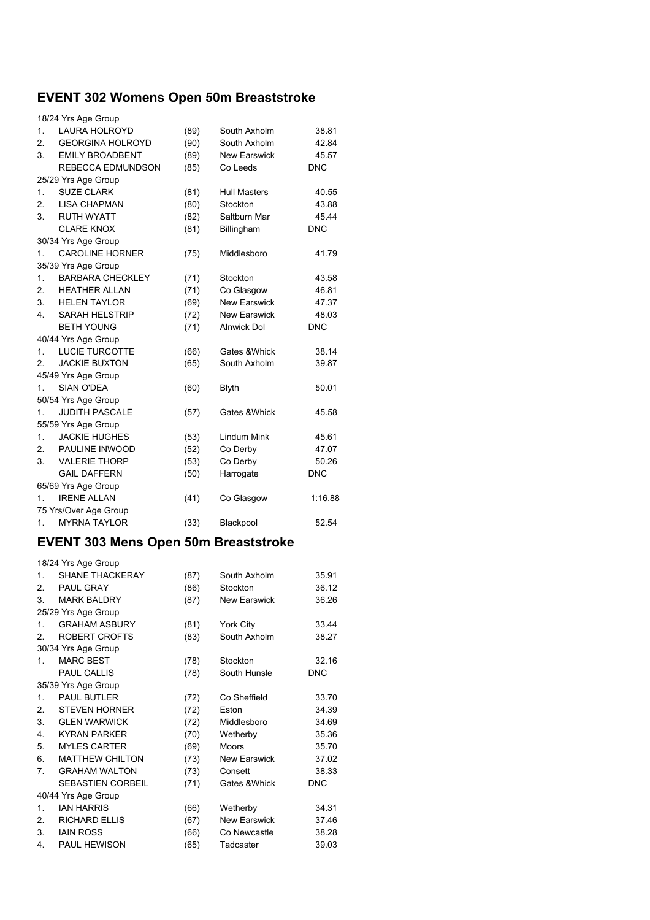# **EVENT 302 Womens Open 50m Breaststroke**

|              | 18/24 Yrs Age Group      |      |                     |            |
|--------------|--------------------------|------|---------------------|------------|
| 1.           | <b>LAURA HOLROYD</b>     | (89) | South Axholm        | 38.81      |
| 2.           | <b>GEORGINA HOLROYD</b>  | (90) | South Axholm        | 42.84      |
| 3.           | <b>EMILY BROADBENT</b>   | (89) | <b>New Earswick</b> | 45.57      |
|              | <b>REBECCA EDMUNDSON</b> | (85) | Co Leeds            | <b>DNC</b> |
|              | 25/29 Yrs Age Group      |      |                     |            |
| 1.           | <b>SUZE CLARK</b>        | (81) | <b>Hull Masters</b> | 40.55      |
| 2.           | <b>LISA CHAPMAN</b>      | (80) | Stockton            | 43.88      |
| 3.           | <b>RUTH WYATT</b>        | (82) | Saltburn Mar        | 45.44      |
|              | <b>CLARE KNOX</b>        | (81) | Billingham          | <b>DNC</b> |
|              | 30/34 Yrs Age Group      |      |                     |            |
| 1.           | <b>CAROLINE HORNER</b>   | (75) | Middlesboro         | 41.79      |
|              | 35/39 Yrs Age Group      |      |                     |            |
| 1.           | <b>BARBARA CHECKLEY</b>  | (71) | Stockton            | 43.58      |
| 2.           | <b>HEATHER ALLAN</b>     | (71) | Co Glasgow          | 46.81      |
| 3.           | <b>HELEN TAYLOR</b>      | (69) | <b>New Earswick</b> | 47.37      |
| 4.           | <b>SARAH HELSTRIP</b>    | (72) | <b>New Earswick</b> | 48.03      |
|              | <b>BETH YOUNG</b>        | (71) | <b>Alnwick Dol</b>  | <b>DNC</b> |
|              | 40/44 Yrs Age Group      |      |                     |            |
| $\mathbf{1}$ | <b>LUCIE TURCOTTE</b>    | (66) | Gates & Whick       | 38.14      |
| 2.           | <b>JACKIE BUXTON</b>     | (65) | South Axholm        | 39.87      |
|              | 45/49 Yrs Age Group      |      |                     |            |
| 1.           | <b>SIAN O'DEA</b>        | (60) | Blyth               | 50.01      |
|              | 50/54 Yrs Age Group      |      |                     |            |
| 1.           | <b>JUDITH PASCALE</b>    | (57) | Gates & Whick       | 45.58      |
|              | 55/59 Yrs Age Group      |      |                     |            |
| 1.           | <b>JACKIE HUGHES</b>     | (53) | <b>Lindum Mink</b>  | 45.61      |
| 2.           | PAULINE INWOOD           | (52) | Co Derby            | 47.07      |
| 3.           | <b>VALERIE THORP</b>     | (53) | Co Derby            | 50.26      |
|              | <b>GAIL DAFFERN</b>      | (50) | Harrogate           | <b>DNC</b> |
|              | 65/69 Yrs Age Group      |      |                     |            |
| 1.           | <b>IRENE ALLAN</b>       | (41) | Co Glasgow          | 1:16.88    |
|              | 75 Yrs/Over Age Group    |      |                     |            |
| 1.           | <b>MYRNA TAYLOR</b>      | (33) | Blackpool           | 52.54      |

## **EVENT 303 Mens Open 50m Breaststroke**

|                | 18/24 Yrs Age Group      |      |               |            |
|----------------|--------------------------|------|---------------|------------|
| $1_{-}$        | <b>SHANE THACKERAY</b>   | (87) | South Axholm  | 35.91      |
| 2.             | PAUL GRAY                | (86) | Stockton      | 36.12      |
| 3 <sub>1</sub> | <b>MARK BALDRY</b>       | (87) | New Earswick  | 36.26      |
|                | 25/29 Yrs Age Group      |      |               |            |
| 1 <sub>1</sub> | <b>GRAHAM ASBURY</b>     | (81) | York City     | 33.44      |
| 2.             | ROBERT CROFTS            | (83) | South Axholm  | 38.27      |
|                | 30/34 Yrs Age Group      |      |               |            |
| 1.             | <b>MARC BEST</b>         | (78) | Stockton      | 32.16      |
|                | <b>PAUL CALLIS</b>       | (78) | South Hunsle  | <b>DNC</b> |
|                | 35/39 Yrs Age Group      |      |               |            |
| $1_{-}$        | <b>PAUL BUTLER</b>       | (72) | Co Sheffield  | 33.70      |
| 2.             | <b>STEVEN HORNER</b>     | (72) | Eston         | 34.39      |
| 3.             | <b>GLEN WARWICK</b>      | (72) | Middlesboro   | 34.69      |
| 4.             | <b>KYRAN PARKER</b>      | (70) | Wetherby      | 35.36      |
| 5.             | <b>MYLES CARTER</b>      | (69) | <b>Moors</b>  | 35.70      |
| 6.             | <b>MATTHEW CHILTON</b>   | (73) | New Earswick  | 37.02      |
| 7.             | <b>GRAHAM WALTON</b>     | (73) | Consett       | 38.33      |
|                | <b>SEBASTIEN CORBEIL</b> | (71) | Gates & Whick | <b>DNC</b> |
|                | 40/44 Yrs Age Group      |      |               |            |
| 1.             | <b>IAN HARRIS</b>        | (66) | Wetherby      | 34.31      |
| 2.             | <b>RICHARD ELLIS</b>     | (67) | New Earswick  | 37.46      |
| 3.             | <b>IAIN ROSS</b>         | (66) | Co Newcastle  | 38.28      |
| 4.             | PAUL HEWISON             | (65) | Tadcaster     | 39.03      |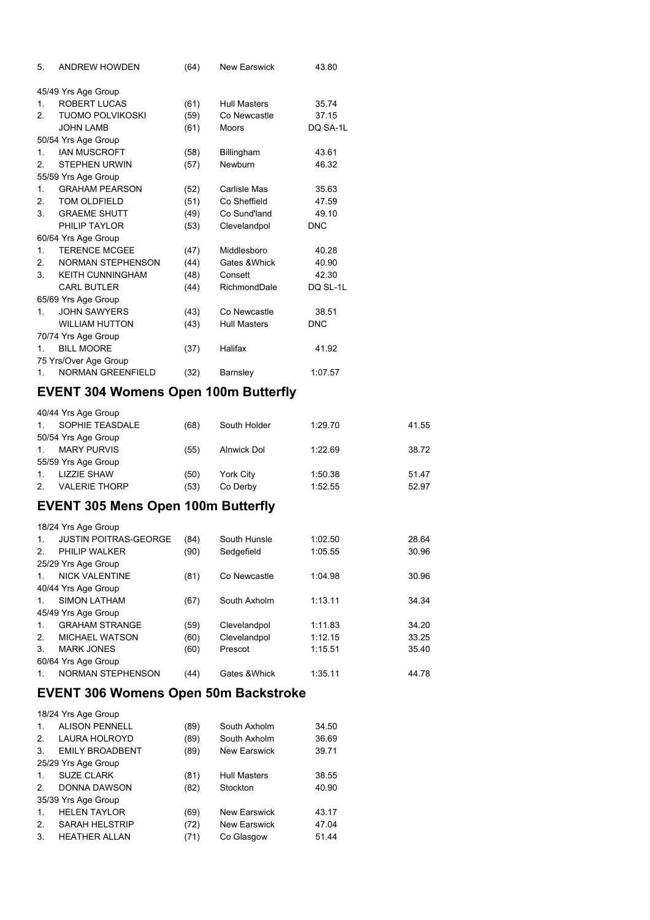| 5.             | <b>ANDREW HOWDEN</b>     | (64) | <b>New Earswick</b> | 43.80      |
|----------------|--------------------------|------|---------------------|------------|
|                | 45/49 Yrs Age Group      |      |                     |            |
| $1_{\ldots}$   | ROBERT LUCAS             | (61) | <b>Hull Masters</b> | 35.74      |
| 2.             | <b>TUOMO POLVIKOSKI</b>  | (59) | Co Newcastle        | 37.15      |
|                | <b>JOHN LAMB</b>         | (61) | <b>Moors</b>        | DQ SA-1L   |
|                | 50/54 Yrs Age Group      |      |                     |            |
| $\mathbf{1}$ . | <b>IAN MUSCROFT</b>      | (58) | Billingham          | 43.61      |
| 2 <sub>1</sub> | <b>STEPHEN URWIN</b>     | (57) | Newburn             | 46.32      |
|                | 55/59 Yrs Age Group      |      |                     |            |
| 1.             | <b>GRAHAM PEARSON</b>    | (52) | Carlisle Mas        | 35.63      |
| 2.             | <b>TOM OLDFIELD</b>      | (51) | Co Sheffield        | 47.59      |
| 3 <sub>1</sub> | <b>GRAEME SHUTT</b>      | (49) | Co Sund'land        | 49.10      |
|                | PHILIP TAYLOR            | (53) | Clevelandpol        | <b>DNC</b> |
|                | 60/64 Yrs Age Group      |      |                     |            |
| $1_{-}$        | <b>TERENCE MCGEE</b>     | (47) | Middlesboro         | 40.28      |
| 2.             | <b>NORMAN STEPHENSON</b> | (44) | Gates & Whick       | 40.90      |
| 3.             | <b>KEITH CUNNINGHAM</b>  | (48) | Consett             | 42.30      |
|                | <b>CARL BUTLER</b>       | (44) | RichmondDale        | DQ SL-1L   |
|                | 65/69 Yrs Age Group      |      |                     |            |
| $1 \quad$      | <b>JOHN SAWYERS</b>      | (43) | Co Newcastle        | 38.51      |
|                | <b>WILLIAM HUTTON</b>    | (43) | <b>Hull Masters</b> | <b>DNC</b> |
|                | 70/74 Yrs Age Group      |      |                     |            |
| 1.             | <b>BILL MOORE</b>        | (37) | Halifax             | 41.92      |
|                | 75 Yrs/Over Age Group    |      |                     |            |
| $1_{-}$        | <b>NORMAN GREENFIELD</b> | (32) | Barnsley            | 1:07.57    |

### **EVENT 304 Womens Open 100m Butterfly**

|                | 40/44 Yrs Age Group  |      |              |         |       |
|----------------|----------------------|------|--------------|---------|-------|
| $\mathbf{1}$ . | SOPHIE TEASDALE      | (68) | South Holder | 1:29.70 | 41.55 |
|                | 50/54 Yrs Age Group  |      |              |         |       |
| $\mathbf 1$    | <b>MARY PURVIS</b>   | (55) | Alnwick Dol  | 1:22.69 | 38.72 |
|                | 55/59 Yrs Age Group  |      |              |         |       |
| $\mathbf{1}$ . | <b>LIZZIE SHAW</b>   | (50) | York City    | 1:50.38 | 51.47 |
| 2.             | <b>VALERIE THORP</b> | (53) | Co Derby     | 1:52.55 | 52.97 |

### **EVENT 305 Mens Open 100m Butterfly**

|                | 18/24 Yrs Age Group          |      |               |         |       |
|----------------|------------------------------|------|---------------|---------|-------|
| $1_{-}$        | <b>JUSTIN POITRAS-GEORGE</b> | (84) | South Hunsle  | 1:02.50 | 28.64 |
| 2 <sup>2</sup> | PHILIP WALKER                | (90) | Sedgefield    | 1:05.55 | 30.96 |
|                | 25/29 Yrs Age Group          |      |               |         |       |
| $\mathbf{1}$   | <b>NICK VALENTINE</b>        | (81) | Co Newcastle  | 1:04.98 | 30.96 |
|                | 40/44 Yrs Age Group          |      |               |         |       |
| $1_{-}$        | <b>SIMON LATHAM</b>          | (67) | South Axholm  | 1:13.11 | 34.34 |
|                | 45/49 Yrs Age Group          |      |               |         |       |
| $1_{\cdot}$    | <b>GRAHAM STRANGE</b>        | (59) | Clevelandpol  | 1:11.83 | 34.20 |
| 2 <sub>1</sub> | <b>MICHAEL WATSON</b>        | (60) | Clevelandpol  | 1:12.15 | 33.25 |
| 3.             | <b>MARK JONES</b>            | (60) | Prescot       | 1:15.51 | 35.40 |
|                | 60/64 Yrs Age Group          |      |               |         |       |
| 1.             | NORMAN STEPHENSON            | (44) | Gates & Whick | 1:35.11 | 44.78 |

### **EVENT 306 Womens Open 50m Backstroke**

|                | 18/24 Yrs Age Group    |      |                     |       |
|----------------|------------------------|------|---------------------|-------|
| $\mathbf{1}$ . | <b>ALISON PENNELL</b>  | (89) | South Axholm        | 34.50 |
| $\mathcal{P}$  | <b>LAURA HOLROYD</b>   | (89) | South Axholm        | 36.69 |
| 3.             | <b>EMILY BROADBENT</b> | (89) | New Earswick        | 39.71 |
|                | 25/29 Yrs Age Group    |      |                     |       |
| $\mathbf{1}$ . | <b>SUZE CLARK</b>      | (81) | <b>Hull Masters</b> | 38.55 |
| 2.             | DONNA DAWSON           | (82) | Stockton            | 40.90 |
|                | 35/39 Yrs Age Group    |      |                     |       |
| $\mathbf{1}$ . | <b>HELEN TAYLOR</b>    | (69) | <b>New Earswick</b> | 43.17 |
| 2.             | <b>SARAH HELSTRIP</b>  | (72) | <b>New Earswick</b> | 47.04 |
| 3.             | <b>HEATHER ALLAN</b>   | (71) | Co Glasgow          | 51.44 |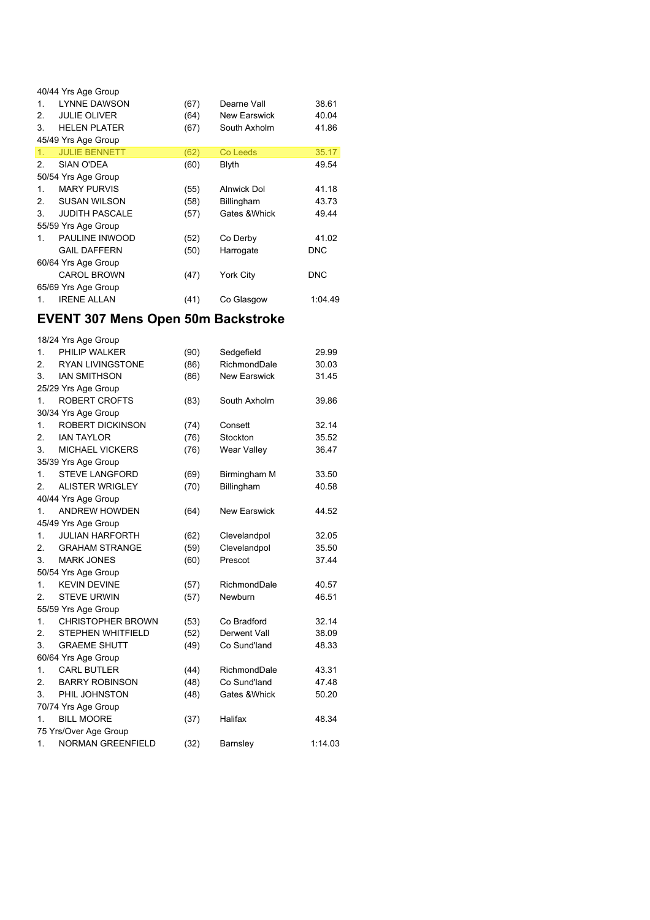|                | 40/44 Yrs Age Group   |      |                    |            |
|----------------|-----------------------|------|--------------------|------------|
| $\mathbf{1}$ . | <b>LYNNE DAWSON</b>   | (67) | Dearne Vall        | 38.61      |
| 2.             | <b>JULIE OLIVER</b>   | (64) | New Earswick       | 40.04      |
| 3.             | <b>HELEN PLATER</b>   | (67) | South Axholm       | 41.86      |
|                | 45/49 Yrs Age Group   |      |                    |            |
| 1.             | <b>JULIE BENNETT</b>  | (62) | Co Leeds           | 35.17      |
| 2 <sub>1</sub> | SIAN O'DEA            | (60) | Blyth              | 49.54      |
|                | 50/54 Yrs Age Group   |      |                    |            |
| 1.             | <b>MARY PURVIS</b>    | (55) | <b>Alnwick Dol</b> | 41.18      |
| 2 <sub>1</sub> | <b>SUSAN WILSON</b>   | (58) | Billingham         | 43.73      |
| 3.             | <b>JUDITH PASCALE</b> | (57) | Gates & Whick      | 49.44      |
|                | 55/59 Yrs Age Group   |      |                    |            |
| 1.             | PAULINE INWOOD        | (52) | Co Derby           | 41.02      |
|                | <b>GAIL DAFFERN</b>   | (50) | Harrogate          | <b>DNC</b> |
|                | 60/64 Yrs Age Group   |      |                    |            |
|                | <b>CAROL BROWN</b>    | (47) | York City          | <b>DNC</b> |
|                | 65/69 Yrs Age Group   |      |                    |            |
| 1.             | <b>IRENE ALLAN</b>    | (41) | Co Glasgow         | 1:04.49    |

### **EVENT 307 Mens Open 50m Backstroke**

|                  | 18/24 Yrs Age Group      |      |                     |         |
|------------------|--------------------------|------|---------------------|---------|
| 1 <sub>1</sub>   | PHILIP WALKER            | (90) | Sedgefield          | 29.99   |
| 2.               | <b>RYAN LIVINGSTONE</b>  | (86) | RichmondDale        | 30.03   |
| 3.               | <b>IAN SMITHSON</b>      | (86) | <b>New Earswick</b> | 31.45   |
|                  | 25/29 Yrs Age Group      |      |                     |         |
| 1.               | <b>ROBERT CROFTS</b>     | (83) | South Axholm        | 39.86   |
|                  | 30/34 Yrs Age Group      |      |                     |         |
| 1.               | <b>ROBERT DICKINSON</b>  | (74) | Consett             | 32.14   |
| 2.               | <b>IAN TAYLOR</b>        | (76) | Stockton            | 35.52   |
| 3.               | <b>MICHAEL VICKERS</b>   | (76) | Wear Valley         | 36.47   |
|                  | 35/39 Yrs Age Group      |      |                     |         |
| 1.               | <b>STEVE LANGFORD</b>    | (69) | Birmingham M        | 33.50   |
| $\overline{2}$ . | <b>ALISTER WRIGLEY</b>   | (70) | Billingham          | 40.58   |
|                  | 40/44 Yrs Age Group      |      |                     |         |
| 1.               | <b>ANDREW HOWDEN</b>     | (64) | <b>New Earswick</b> | 44.52   |
|                  | 45/49 Yrs Age Group      |      |                     |         |
| 1.               | <b>JULIAN HARFORTH</b>   | (62) | Clevelandpol        | 32.05   |
| 2 <sup>2</sup>   | <b>GRAHAM STRANGE</b>    | (59) | Clevelandpol        | 35.50   |
| 3.               | <b>MARK JONES</b>        | (60) | Prescot             | 37.44   |
|                  | 50/54 Yrs Age Group      |      |                     |         |
| 1.               | <b>KEVIN DEVINE</b>      | (57) | RichmondDale        | 40.57   |
| 2.               | <b>STEVE URWIN</b>       | (57) | Newburn             | 46.51   |
|                  | 55/59 Yrs Age Group      |      |                     |         |
| 1 <sub>1</sub>   | <b>CHRISTOPHER BROWN</b> | (53) | Co Bradford         | 32.14   |
| 2.               | <b>STEPHEN WHITFIELD</b> | (52) | Derwent Vall        | 38.09   |
| 3.               | <b>GRAEME SHUTT</b>      | (49) | Co Sund'land        | 48.33   |
|                  | 60/64 Yrs Age Group      |      |                     |         |
| 1.               | <b>CARL BUTLER</b>       | (44) | RichmondDale        | 43.31   |
| 2.               | <b>BARRY ROBINSON</b>    | (48) | Co Sund'land        | 47.48   |
| 3.               | PHIL JOHNSTON            | (48) | Gates & Whick       | 50.20   |
|                  | 70/74 Yrs Age Group      |      |                     |         |
| 1.               | <b>BILL MOORE</b>        | (37) | Halifax             | 48.34   |
|                  | 75 Yrs/Over Age Group    |      |                     |         |
| 1.               | <b>NORMAN GREENFIELD</b> | (32) | Barnsley            | 1:14.03 |